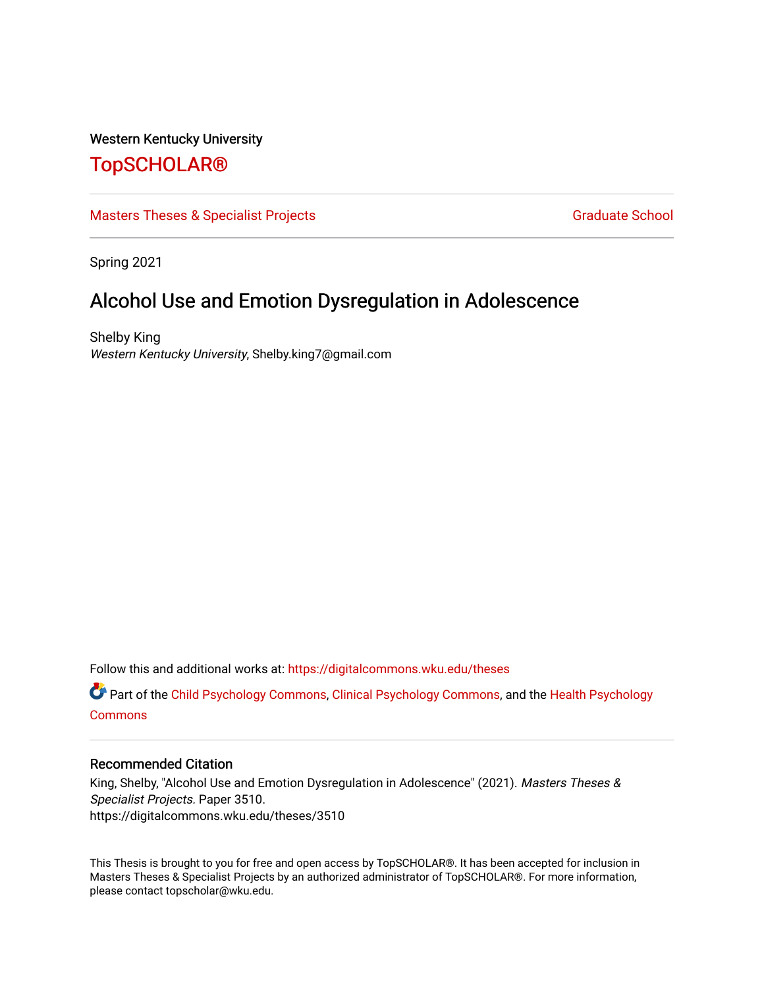# Western Kentucky University

# [TopSCHOLAR®](https://digitalcommons.wku.edu/)

[Masters Theses & Specialist Projects](https://digitalcommons.wku.edu/theses) [Graduate School](https://digitalcommons.wku.edu/Graduate) Graduate School

Spring 2021

# Alcohol Use and Emotion Dysregulation in Adolescence

Shelby King Western Kentucky University, Shelby.king7@gmail.com

Follow this and additional works at: [https://digitalcommons.wku.edu/theses](https://digitalcommons.wku.edu/theses?utm_source=digitalcommons.wku.edu%2Ftheses%2F3510&utm_medium=PDF&utm_campaign=PDFCoverPages) 

Part of the [Child Psychology Commons,](http://network.bepress.com/hgg/discipline/1023?utm_source=digitalcommons.wku.edu%2Ftheses%2F3510&utm_medium=PDF&utm_campaign=PDFCoverPages) [Clinical Psychology Commons,](http://network.bepress.com/hgg/discipline/406?utm_source=digitalcommons.wku.edu%2Ftheses%2F3510&utm_medium=PDF&utm_campaign=PDFCoverPages) and the [Health Psychology](http://network.bepress.com/hgg/discipline/411?utm_source=digitalcommons.wku.edu%2Ftheses%2F3510&utm_medium=PDF&utm_campaign=PDFCoverPages) **[Commons](http://network.bepress.com/hgg/discipline/411?utm_source=digitalcommons.wku.edu%2Ftheses%2F3510&utm_medium=PDF&utm_campaign=PDFCoverPages)** 

## Recommended Citation

King, Shelby, "Alcohol Use and Emotion Dysregulation in Adolescence" (2021). Masters Theses & Specialist Projects. Paper 3510. https://digitalcommons.wku.edu/theses/3510

This Thesis is brought to you for free and open access by TopSCHOLAR®. It has been accepted for inclusion in Masters Theses & Specialist Projects by an authorized administrator of TopSCHOLAR®. For more information, please contact topscholar@wku.edu.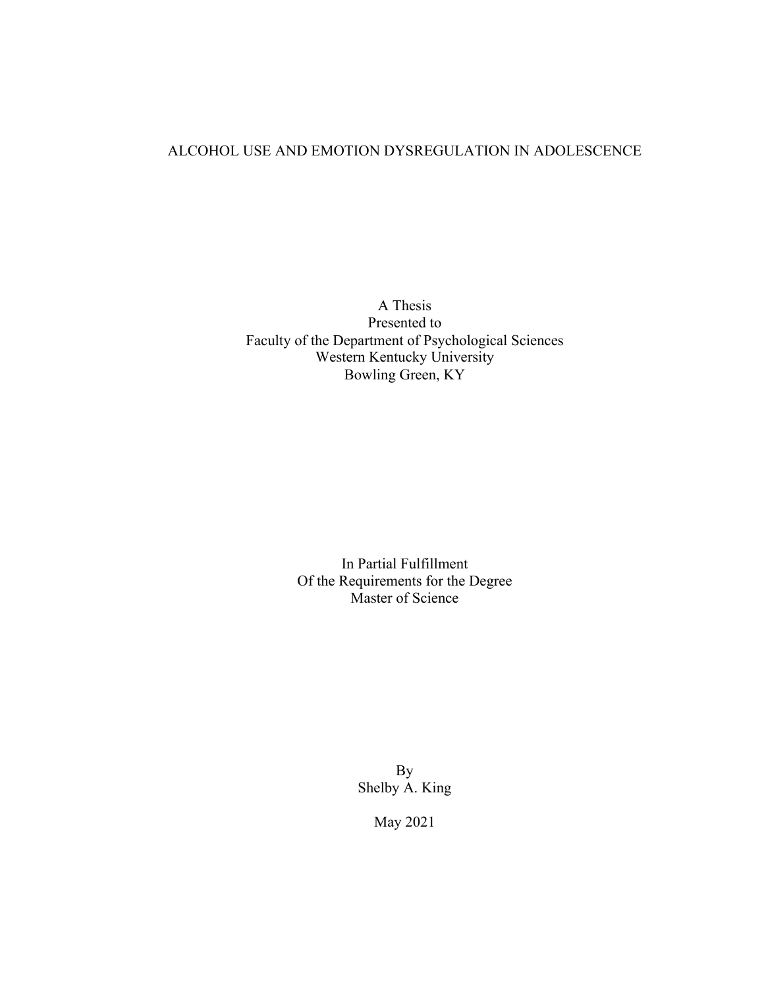# ALCOHOL USE AND EMOTION DYSREGULATION IN ADOLESCENCE

A Thesis Presented to Faculty of the Department of Psychological Sciences Western Kentucky University Bowling Green, KY

> In Partial Fulfillment Of the Requirements for the Degree Master of Science

> > By Shelby A. King

> > > May 2021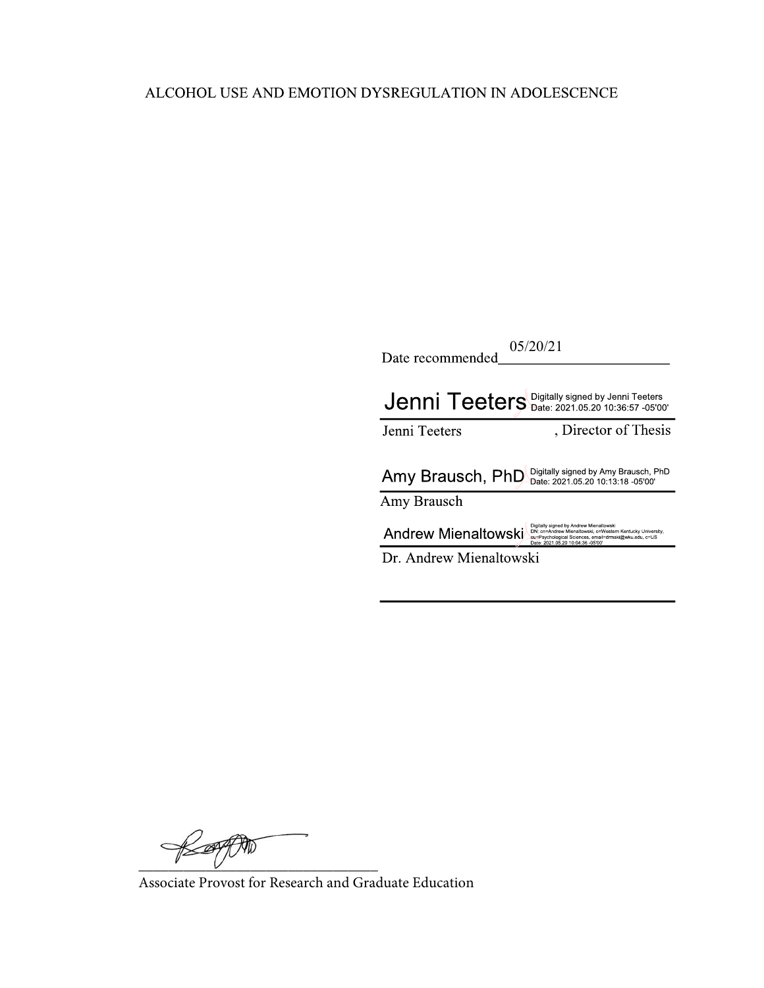# ALCOHOL USE AND EMOTION DYSREGULATION IN ADOLESCENCE

| 05/20/21<br>Date recommended |                                                                                                                                                                                                     |  |  |  |  |  |
|------------------------------|-----------------------------------------------------------------------------------------------------------------------------------------------------------------------------------------------------|--|--|--|--|--|
|                              | $J$ enni Teeters Digitally signed by Jenni Teeters                                                                                                                                                  |  |  |  |  |  |
| Jenni Teeters                | Director of Thesis                                                                                                                                                                                  |  |  |  |  |  |
|                              |                                                                                                                                                                                                     |  |  |  |  |  |
| Amy Brausch, PhD             | Digitally signed by Amy Brausch, PhD<br>Date: 2021.05.20 10:13:18 -05'00'                                                                                                                           |  |  |  |  |  |
| Amy Brausch                  |                                                                                                                                                                                                     |  |  |  |  |  |
| <b>Andrew Mienaltowski</b>   | Digitally signed by Andrew Mienaltowski<br>DN: cn=Andrew Mienaltowski, o=Western Kentucky University,<br>ou=Psychological Sciences, email=drmski@wku.edu, c=US<br>Date: 2021.05.20 10:04:36 -05'00' |  |  |  |  |  |

 $\not\approx$ 

Associate Provost for Research and Graduate Education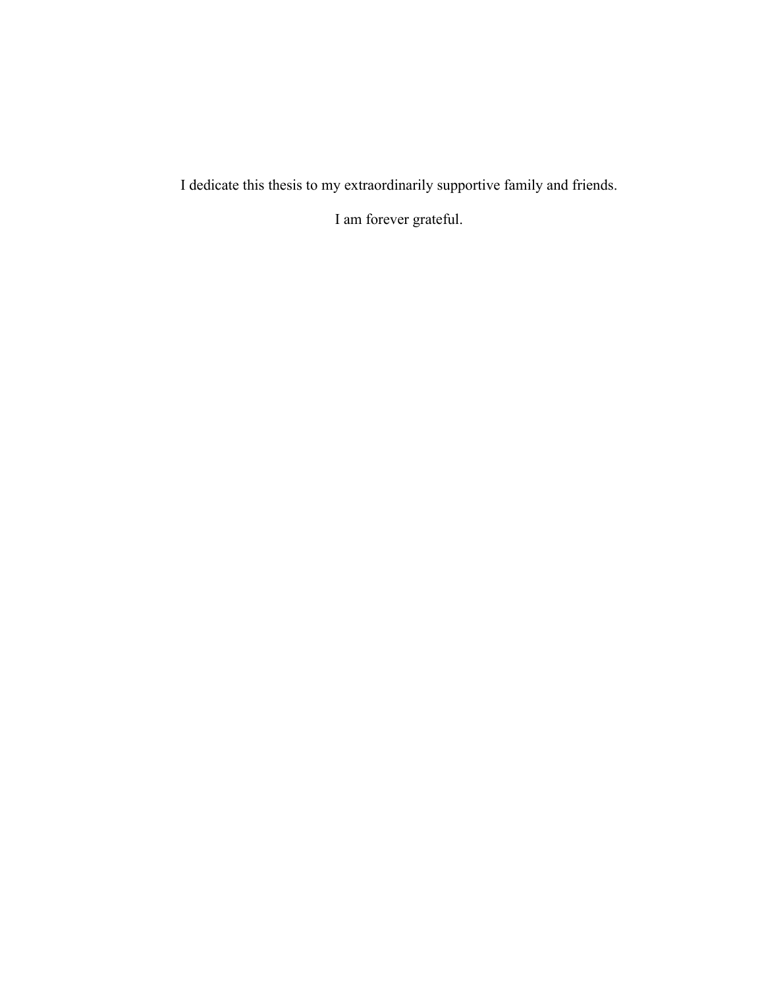I dedicate this thesis to my extraordinarily supportive family and friends.

I am forever grateful.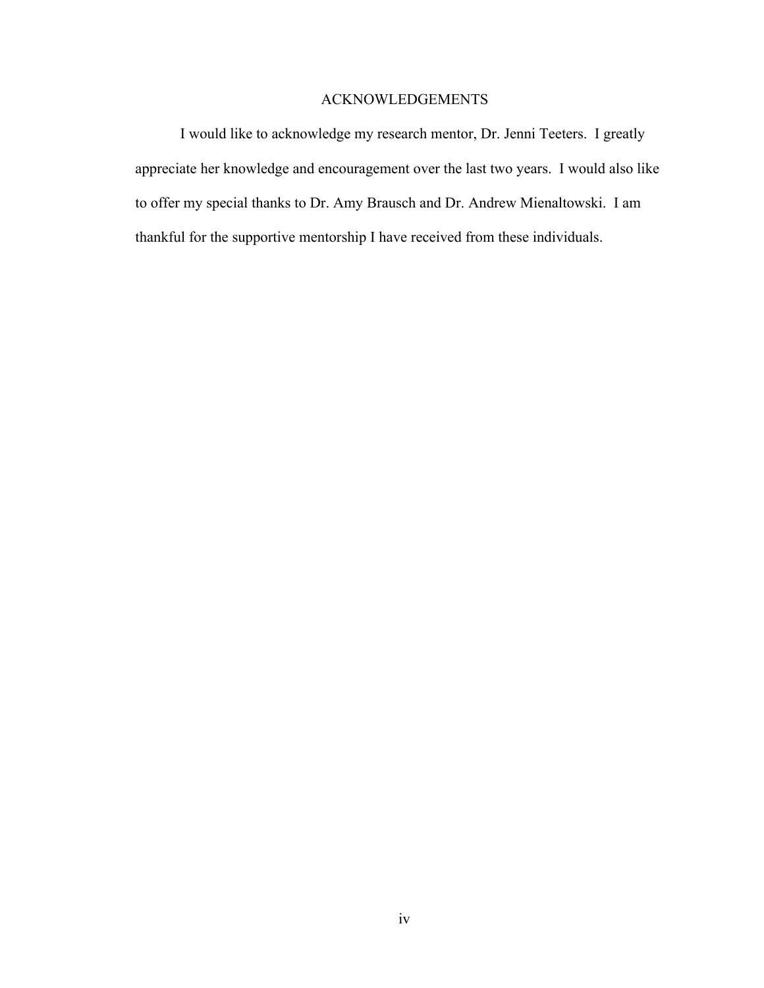# ACKNOWLEDGEMENTS

I would like to acknowledge my research mentor, Dr. Jenni Teeters. I greatly appreciate her knowledge and encouragement over the last two years. I would also like to offer my special thanks to Dr. Amy Brausch and Dr. Andrew Mienaltowski. I am thankful for the supportive mentorship I have received from these individuals.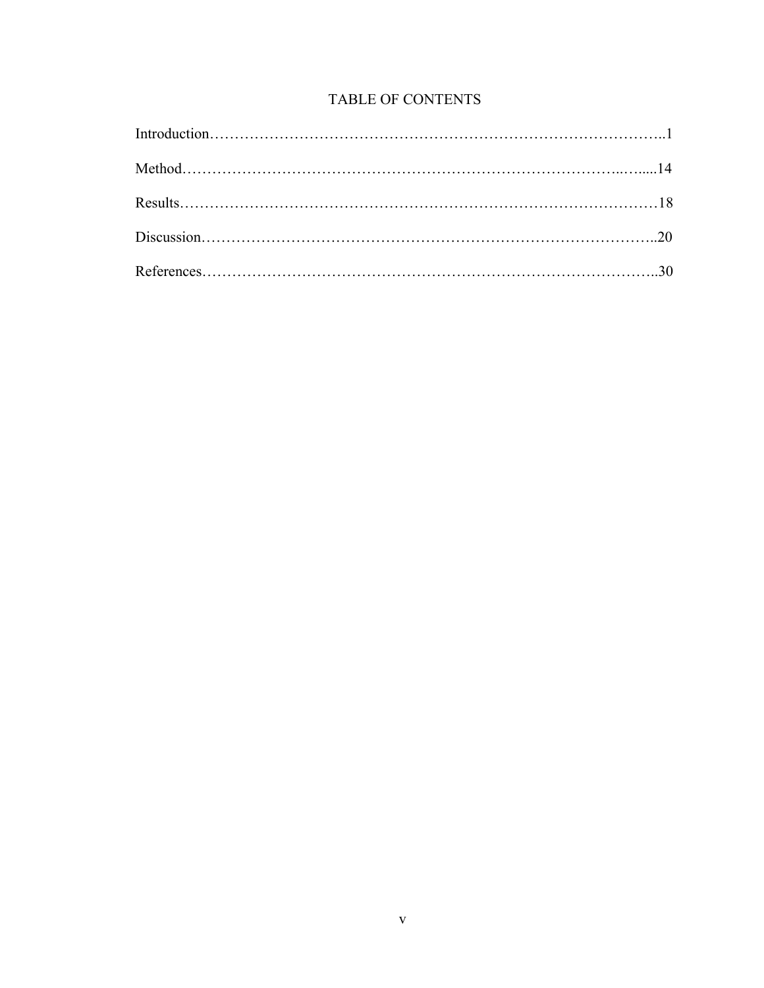# TABLE OF CONTENTS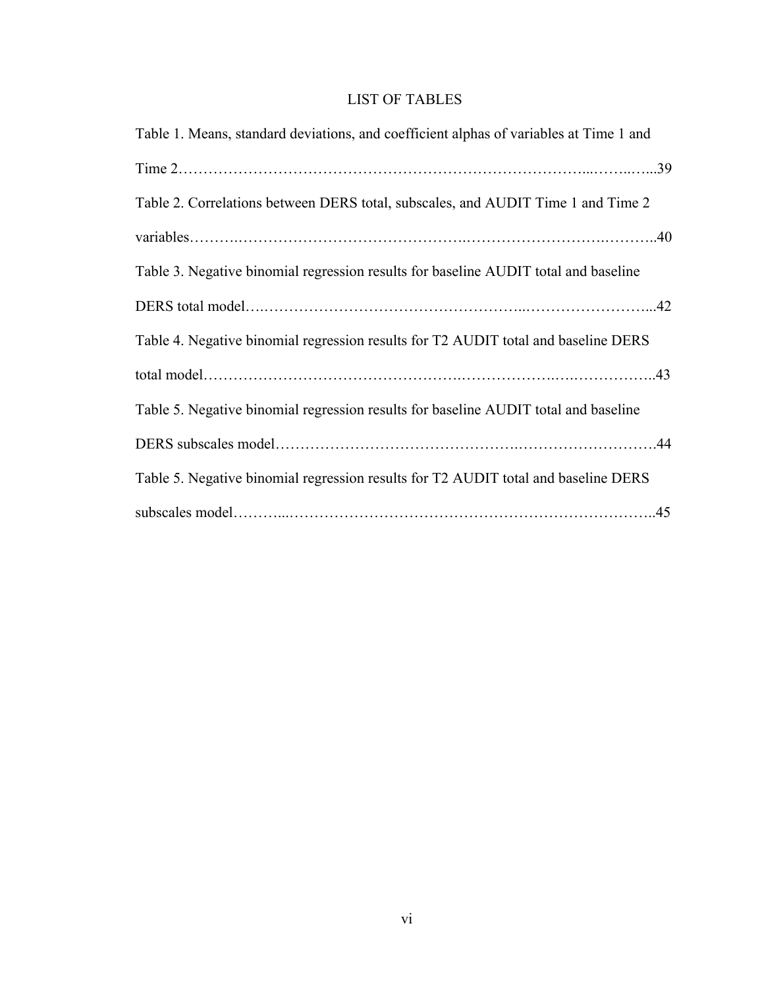# LIST OF TABLES

| Table 1. Means, standard deviations, and coefficient alphas of variables at Time 1 and |
|----------------------------------------------------------------------------------------|
|                                                                                        |
| Table 2. Correlations between DERS total, subscales, and AUDIT Time 1 and Time 2       |
|                                                                                        |
| Table 3. Negative binomial regression results for baseline AUDIT total and baseline    |
|                                                                                        |
| Table 4. Negative binomial regression results for T2 AUDIT total and baseline DERS     |
|                                                                                        |
| Table 5. Negative binomial regression results for baseline AUDIT total and baseline    |
|                                                                                        |
| Table 5. Negative binomial regression results for T2 AUDIT total and baseline DERS     |
|                                                                                        |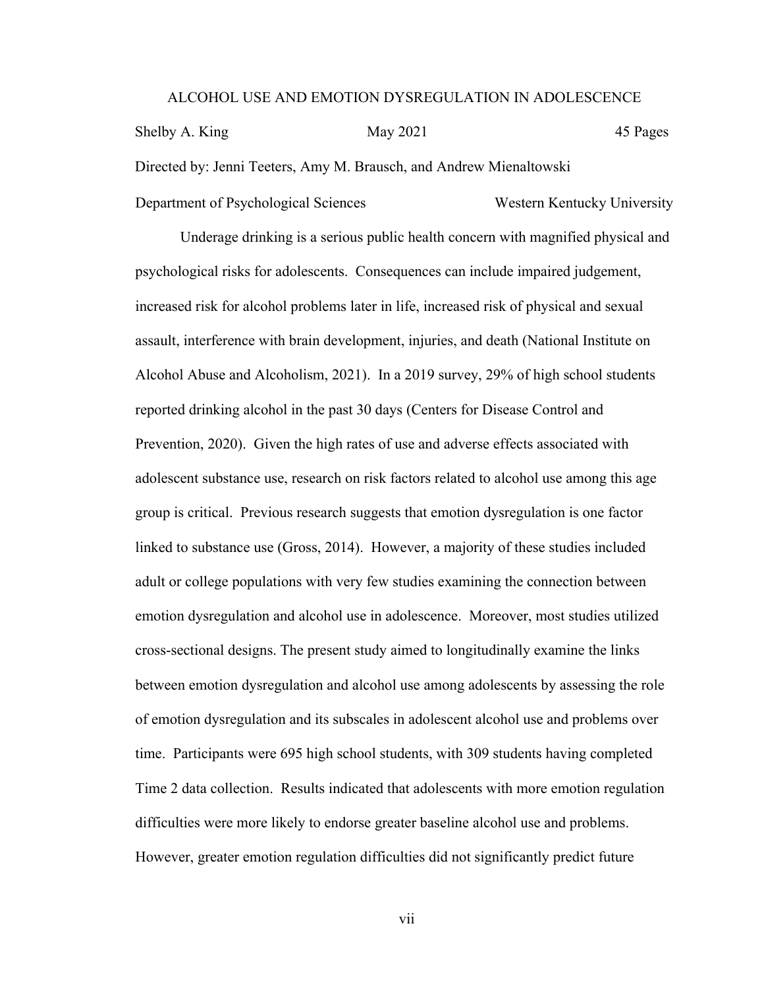#### ALCOHOL USE AND EMOTION DYSREGULATION IN ADOLESCENCE

Shelby A. King May 2021 45 Pages Directed by: Jenni Teeters, Amy M. Brausch, and Andrew Mienaltowski Department of Psychological Sciences Western Kentucky University

Underage drinking is a serious public health concern with magnified physical and psychological risks for adolescents. Consequences can include impaired judgement, increased risk for alcohol problems later in life, increased risk of physical and sexual assault, interference with brain development, injuries, and death (National Institute on Alcohol Abuse and Alcoholism, 2021). In a 2019 survey, 29% of high school students reported drinking alcohol in the past 30 days (Centers for Disease Control and Prevention, 2020). Given the high rates of use and adverse effects associated with adolescent substance use, research on risk factors related to alcohol use among this age group is critical. Previous research suggests that emotion dysregulation is one factor linked to substance use (Gross, 2014). However, a majority of these studies included adult or college populations with very few studies examining the connection between emotion dysregulation and alcohol use in adolescence. Moreover, most studies utilized cross-sectional designs. The present study aimed to longitudinally examine the links between emotion dysregulation and alcohol use among adolescents by assessing the role of emotion dysregulation and its subscales in adolescent alcohol use and problems over time. Participants were 695 high school students, with 309 students having completed Time 2 data collection. Results indicated that adolescents with more emotion regulation difficulties were more likely to endorse greater baseline alcohol use and problems. However, greater emotion regulation difficulties did not significantly predict future

vii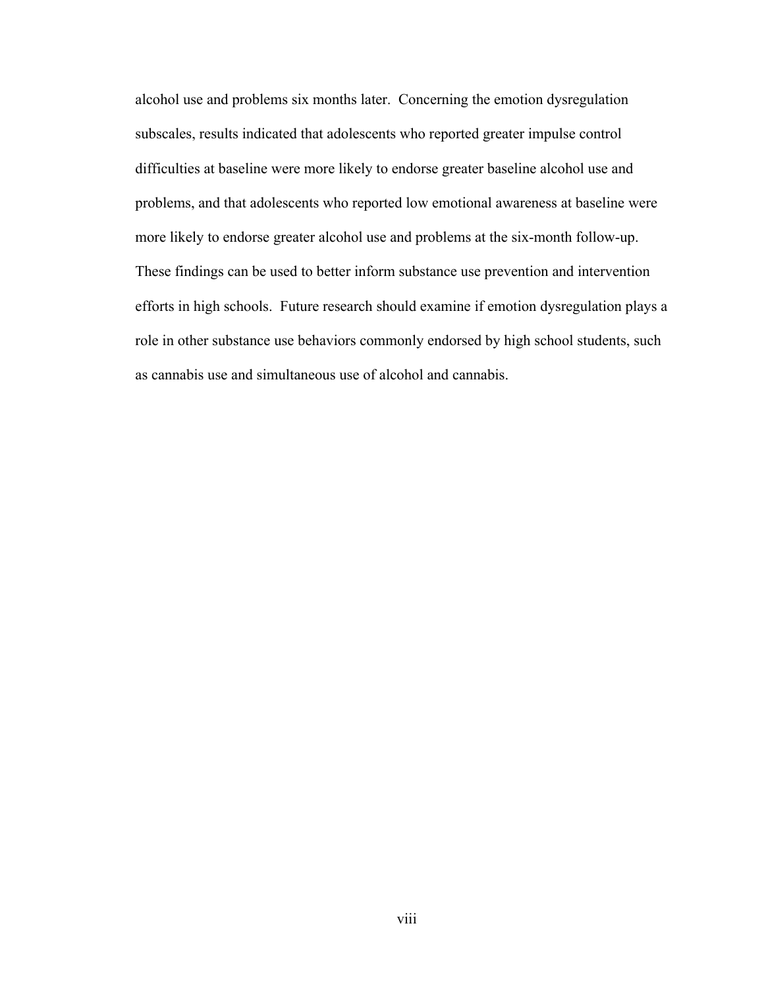alcohol use and problems six months later. Concerning the emotion dysregulation subscales, results indicated that adolescents who reported greater impulse control difficulties at baseline were more likely to endorse greater baseline alcohol use and problems, and that adolescents who reported low emotional awareness at baseline were more likely to endorse greater alcohol use and problems at the six-month follow-up. These findings can be used to better inform substance use prevention and intervention efforts in high schools. Future research should examine if emotion dysregulation plays a role in other substance use behaviors commonly endorsed by high school students, such as cannabis use and simultaneous use of alcohol and cannabis.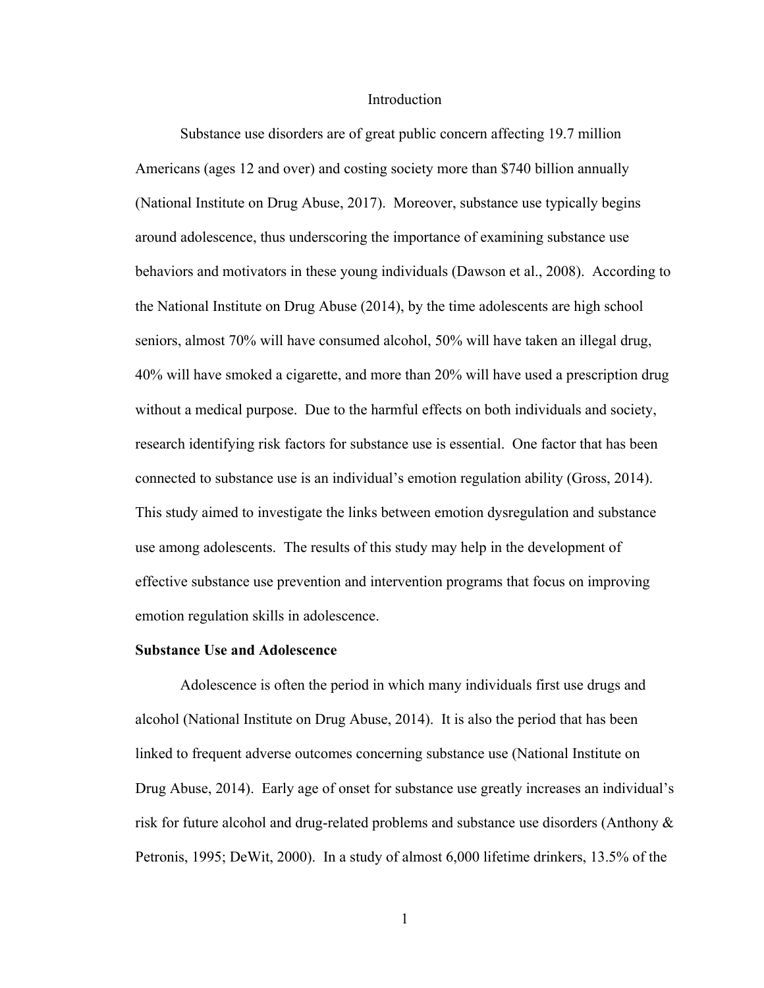### Introduction

Substance use disorders are of great public concern affecting 19.7 million Americans (ages 12 and over) and costing society more than \$740 billion annually (National Institute on Drug Abuse, 2017). Moreover, substance use typically begins around adolescence, thus underscoring the importance of examining substance use behaviors and motivators in these young individuals (Dawson et al., 2008). According to the National Institute on Drug Abuse (2014), by the time adolescents are high school seniors, almost 70% will have consumed alcohol, 50% will have taken an illegal drug, 40% will have smoked a cigarette, and more than 20% will have used a prescription drug without a medical purpose. Due to the harmful effects on both individuals and society, research identifying risk factors for substance use is essential. One factor that has been connected to substance use is an individual's emotion regulation ability (Gross, 2014). This study aimed to investigate the links between emotion dysregulation and substance use among adolescents. The results of this study may help in the development of effective substance use prevention and intervention programs that focus on improving emotion regulation skills in adolescence.

#### **Substance Use and Adolescence**

Adolescence is often the period in which many individuals first use drugs and alcohol (National Institute on Drug Abuse, 2014). It is also the period that has been linked to frequent adverse outcomes concerning substance use (National Institute on Drug Abuse, 2014). Early age of onset for substance use greatly increases an individual's risk for future alcohol and drug-related problems and substance use disorders (Anthony & Petronis, 1995; DeWit, 2000). In a study of almost 6,000 lifetime drinkers, 13.5% of the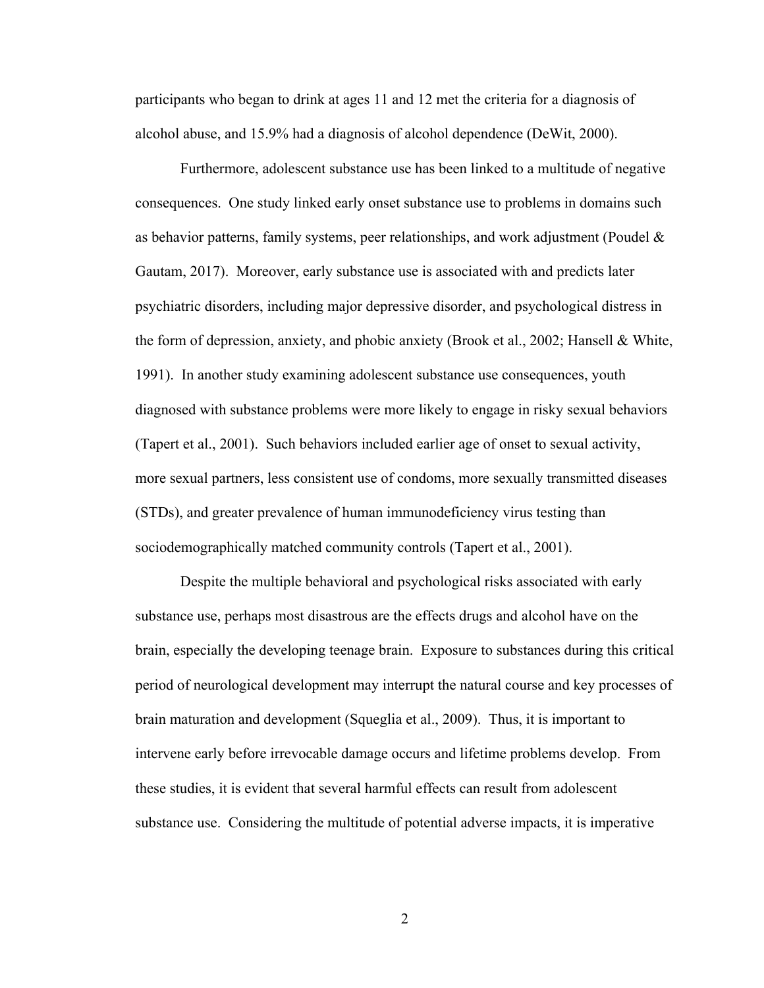participants who began to drink at ages 11 and 12 met the criteria for a diagnosis of alcohol abuse, and 15.9% had a diagnosis of alcohol dependence (DeWit, 2000).

Furthermore, adolescent substance use has been linked to a multitude of negative consequences. One study linked early onset substance use to problems in domains such as behavior patterns, family systems, peer relationships, and work adjustment (Poudel  $\&$ Gautam, 2017). Moreover, early substance use is associated with and predicts later psychiatric disorders, including major depressive disorder, and psychological distress in the form of depression, anxiety, and phobic anxiety (Brook et al., 2002; Hansell & White, 1991). In another study examining adolescent substance use consequences, youth diagnosed with substance problems were more likely to engage in risky sexual behaviors (Tapert et al., 2001). Such behaviors included earlier age of onset to sexual activity, more sexual partners, less consistent use of condoms, more sexually transmitted diseases (STDs), and greater prevalence of human immunodeficiency virus testing than sociodemographically matched community controls (Tapert et al., 2001).

Despite the multiple behavioral and psychological risks associated with early substance use, perhaps most disastrous are the effects drugs and alcohol have on the brain, especially the developing teenage brain. Exposure to substances during this critical period of neurological development may interrupt the natural course and key processes of brain maturation and development (Squeglia et al., 2009). Thus, it is important to intervene early before irrevocable damage occurs and lifetime problems develop. From these studies, it is evident that several harmful effects can result from adolescent substance use. Considering the multitude of potential adverse impacts, it is imperative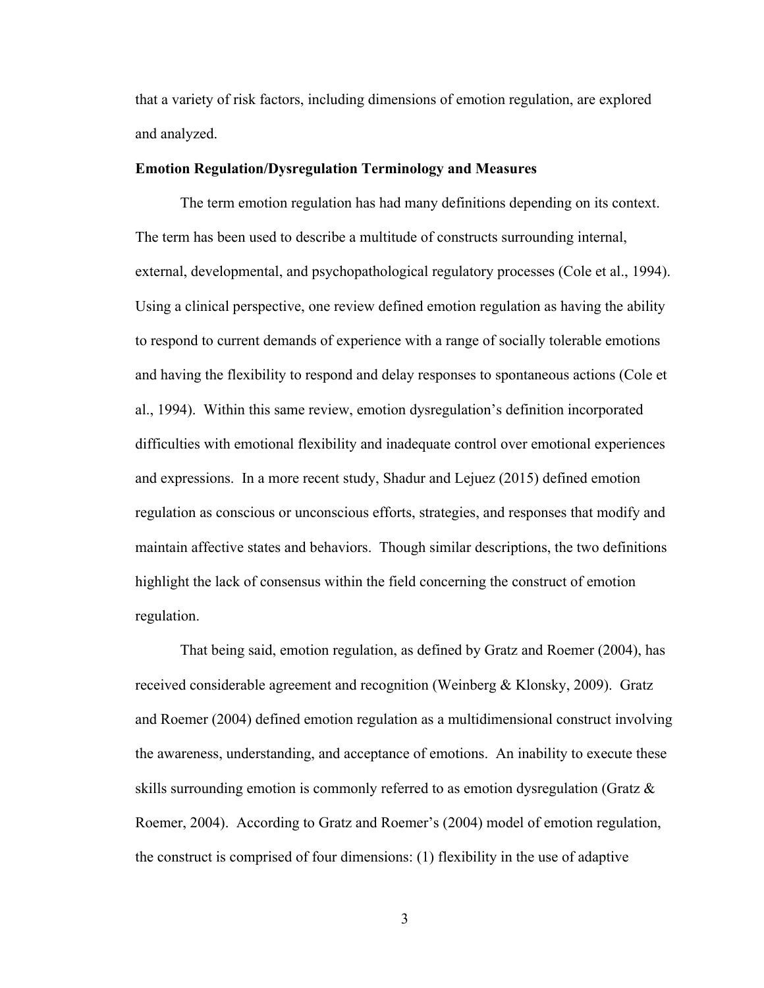that a variety of risk factors, including dimensions of emotion regulation, are explored and analyzed.

#### **Emotion Regulation/Dysregulation Terminology and Measures**

The term emotion regulation has had many definitions depending on its context. The term has been used to describe a multitude of constructs surrounding internal, external, developmental, and psychopathological regulatory processes (Cole et al., 1994). Using a clinical perspective, one review defined emotion regulation as having the ability to respond to current demands of experience with a range of socially tolerable emotions and having the flexibility to respond and delay responses to spontaneous actions (Cole et al., 1994). Within this same review, emotion dysregulation's definition incorporated difficulties with emotional flexibility and inadequate control over emotional experiences and expressions. In a more recent study, Shadur and Lejuez (2015) defined emotion regulation as conscious or unconscious efforts, strategies, and responses that modify and maintain affective states and behaviors. Though similar descriptions, the two definitions highlight the lack of consensus within the field concerning the construct of emotion regulation.

That being said, emotion regulation, as defined by Gratz and Roemer (2004), has received considerable agreement and recognition (Weinberg & Klonsky, 2009). Gratz and Roemer (2004) defined emotion regulation as a multidimensional construct involving the awareness, understanding, and acceptance of emotions. An inability to execute these skills surrounding emotion is commonly referred to as emotion dysregulation (Gratz & Roemer, 2004). According to Gratz and Roemer's (2004) model of emotion regulation, the construct is comprised of four dimensions: (1) flexibility in the use of adaptive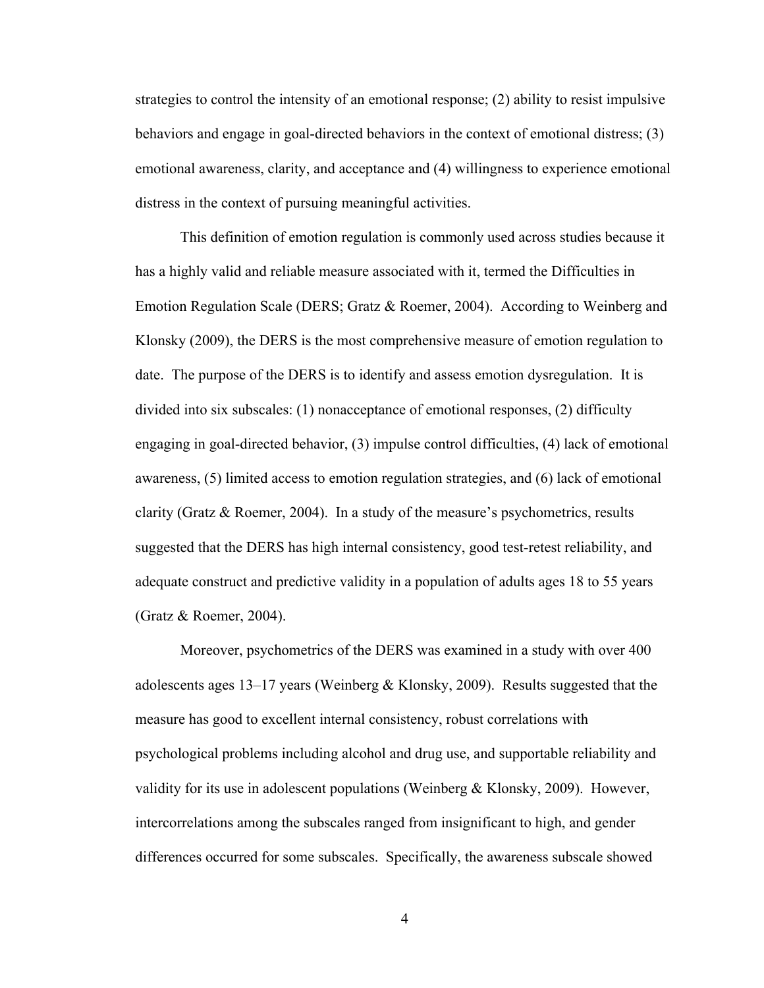strategies to control the intensity of an emotional response; (2) ability to resist impulsive behaviors and engage in goal-directed behaviors in the context of emotional distress; (3) emotional awareness, clarity, and acceptance and (4) willingness to experience emotional distress in the context of pursuing meaningful activities.

This definition of emotion regulation is commonly used across studies because it has a highly valid and reliable measure associated with it, termed the Difficulties in Emotion Regulation Scale (DERS; Gratz & Roemer, 2004). According to Weinberg and Klonsky (2009), the DERS is the most comprehensive measure of emotion regulation to date. The purpose of the DERS is to identify and assess emotion dysregulation. It is divided into six subscales: (1) nonacceptance of emotional responses, (2) difficulty engaging in goal-directed behavior, (3) impulse control difficulties, (4) lack of emotional awareness, (5) limited access to emotion regulation strategies, and (6) lack of emotional clarity (Gratz & Roemer, 2004). In a study of the measure's psychometrics, results suggested that the DERS has high internal consistency, good test-retest reliability, and adequate construct and predictive validity in a population of adults ages 18 to 55 years (Gratz & Roemer, 2004).

Moreover, psychometrics of the DERS was examined in a study with over 400 adolescents ages 13–17 years (Weinberg & Klonsky, 2009). Results suggested that the measure has good to excellent internal consistency, robust correlations with psychological problems including alcohol and drug use, and supportable reliability and validity for its use in adolescent populations (Weinberg & Klonsky, 2009). However, intercorrelations among the subscales ranged from insignificant to high, and gender differences occurred for some subscales. Specifically, the awareness subscale showed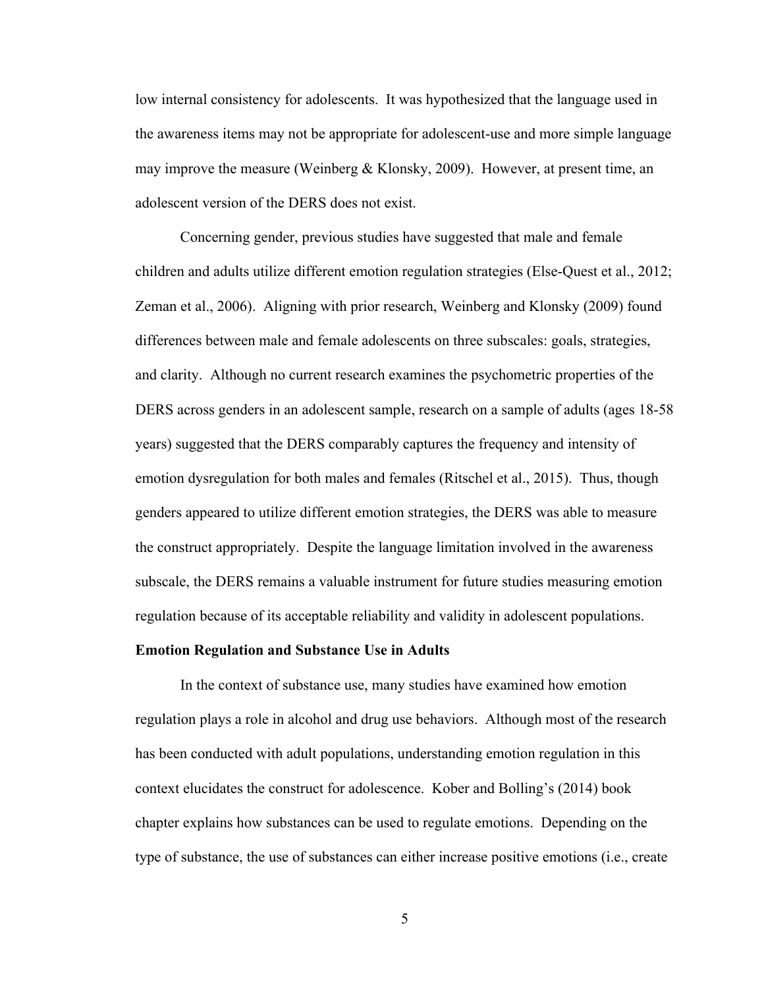low internal consistency for adolescents. It was hypothesized that the language used in the awareness items may not be appropriate for adolescent-use and more simple language may improve the measure (Weinberg & Klonsky, 2009). However, at present time, an adolescent version of the DERS does not exist.

Concerning gender, previous studies have suggested that male and female children and adults utilize different emotion regulation strategies (Else-Quest et al., 2012; Zeman et al., 2006). Aligning with prior research, Weinberg and Klonsky (2009) found differences between male and female adolescents on three subscales: goals, strategies, and clarity. Although no current research examines the psychometric properties of the DERS across genders in an adolescent sample, research on a sample of adults (ages 18-58 years) suggested that the DERS comparably captures the frequency and intensity of emotion dysregulation for both males and females (Ritschel et al., 2015). Thus, though genders appeared to utilize different emotion strategies, the DERS was able to measure the construct appropriately. Despite the language limitation involved in the awareness subscale, the DERS remains a valuable instrument for future studies measuring emotion regulation because of its acceptable reliability and validity in adolescent populations.

#### **Emotion Regulation and Substance Use in Adults**

In the context of substance use, many studies have examined how emotion regulation plays a role in alcohol and drug use behaviors. Although most of the research has been conducted with adult populations, understanding emotion regulation in this context elucidates the construct for adolescence. Kober and Bolling's (2014) book chapter explains how substances can be used to regulate emotions. Depending on the type of substance, the use of substances can either increase positive emotions (i.e., create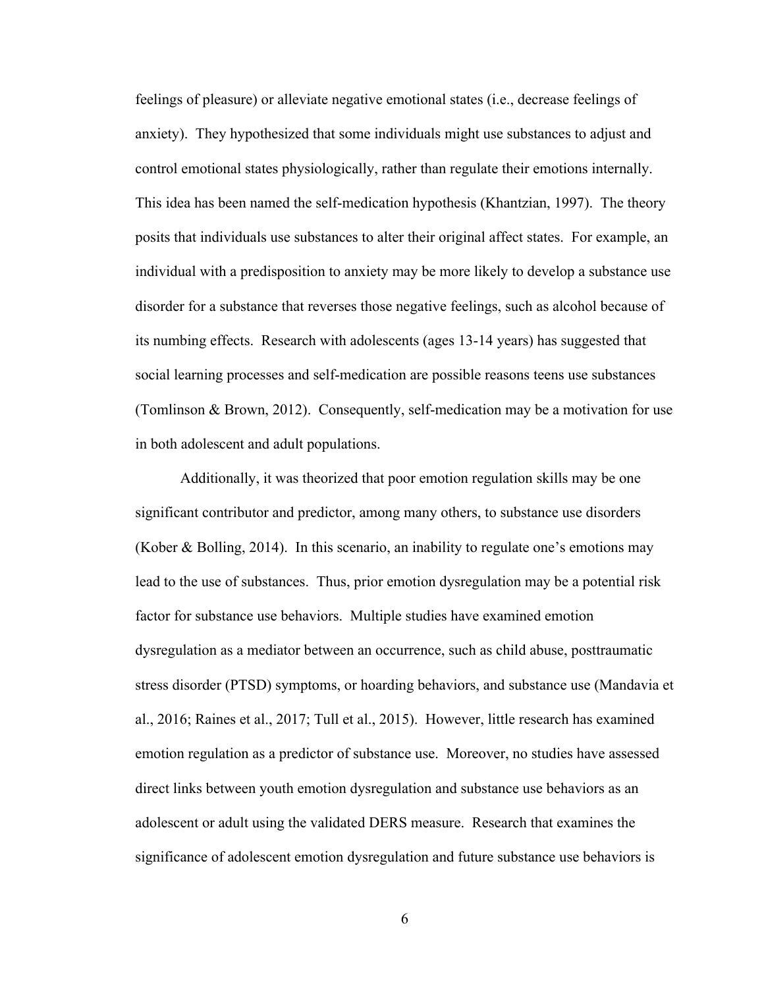feelings of pleasure) or alleviate negative emotional states (i.e., decrease feelings of anxiety). They hypothesized that some individuals might use substances to adjust and control emotional states physiologically, rather than regulate their emotions internally. This idea has been named the self-medication hypothesis (Khantzian, 1997). The theory posits that individuals use substances to alter their original affect states. For example, an individual with a predisposition to anxiety may be more likely to develop a substance use disorder for a substance that reverses those negative feelings, such as alcohol because of its numbing effects. Research with adolescents (ages 13-14 years) has suggested that social learning processes and self-medication are possible reasons teens use substances (Tomlinson & Brown, 2012). Consequently, self-medication may be a motivation for use in both adolescent and adult populations.

Additionally, it was theorized that poor emotion regulation skills may be one significant contributor and predictor, among many others, to substance use disorders (Kober & Bolling, 2014). In this scenario, an inability to regulate one's emotions may lead to the use of substances. Thus, prior emotion dysregulation may be a potential risk factor for substance use behaviors. Multiple studies have examined emotion dysregulation as a mediator between an occurrence, such as child abuse, posttraumatic stress disorder (PTSD) symptoms, or hoarding behaviors, and substance use (Mandavia et al., 2016; Raines et al., 2017; Tull et al., 2015). However, little research has examined emotion regulation as a predictor of substance use. Moreover, no studies have assessed direct links between youth emotion dysregulation and substance use behaviors as an adolescent or adult using the validated DERS measure. Research that examines the significance of adolescent emotion dysregulation and future substance use behaviors is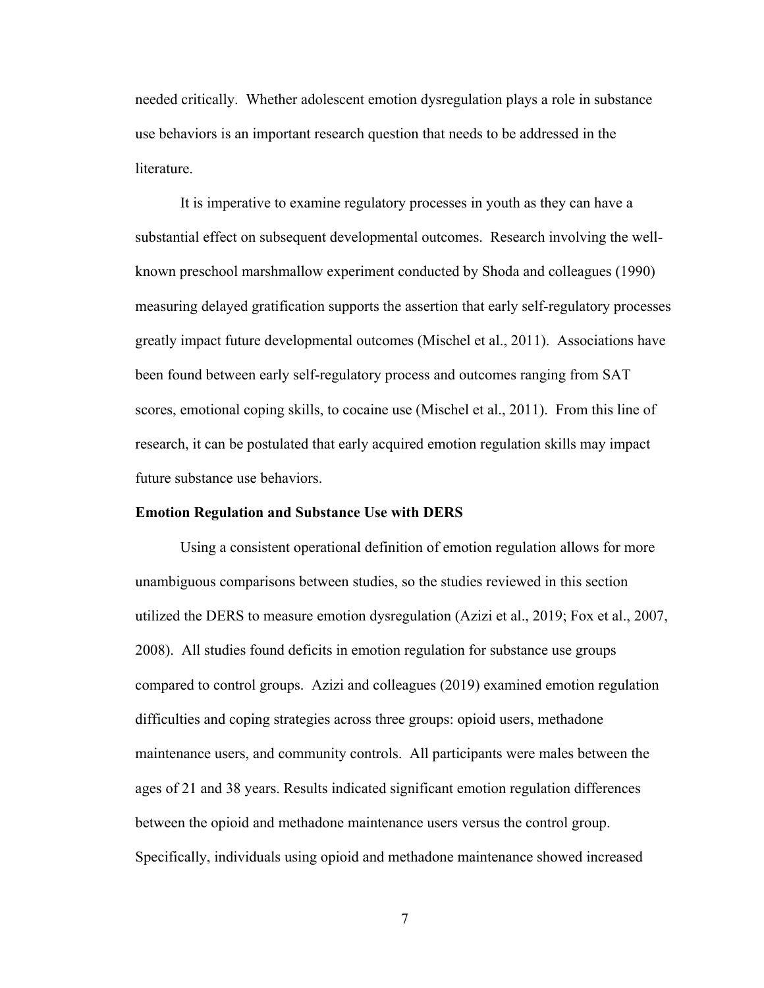needed critically. Whether adolescent emotion dysregulation plays a role in substance use behaviors is an important research question that needs to be addressed in the literature.

It is imperative to examine regulatory processes in youth as they can have a substantial effect on subsequent developmental outcomes. Research involving the wellknown preschool marshmallow experiment conducted by Shoda and colleagues (1990) measuring delayed gratification supports the assertion that early self-regulatory processes greatly impact future developmental outcomes (Mischel et al., 2011). Associations have been found between early self-regulatory process and outcomes ranging from SAT scores, emotional coping skills, to cocaine use (Mischel et al., 2011). From this line of research, it can be postulated that early acquired emotion regulation skills may impact future substance use behaviors.

#### **Emotion Regulation and Substance Use with DERS**

Using a consistent operational definition of emotion regulation allows for more unambiguous comparisons between studies, so the studies reviewed in this section utilized the DERS to measure emotion dysregulation (Azizi et al., 2019; Fox et al., 2007, 2008). All studies found deficits in emotion regulation for substance use groups compared to control groups. Azizi and colleagues (2019) examined emotion regulation difficulties and coping strategies across three groups: opioid users, methadone maintenance users, and community controls. All participants were males between the ages of 21 and 38 years. Results indicated significant emotion regulation differences between the opioid and methadone maintenance users versus the control group. Specifically, individuals using opioid and methadone maintenance showed increased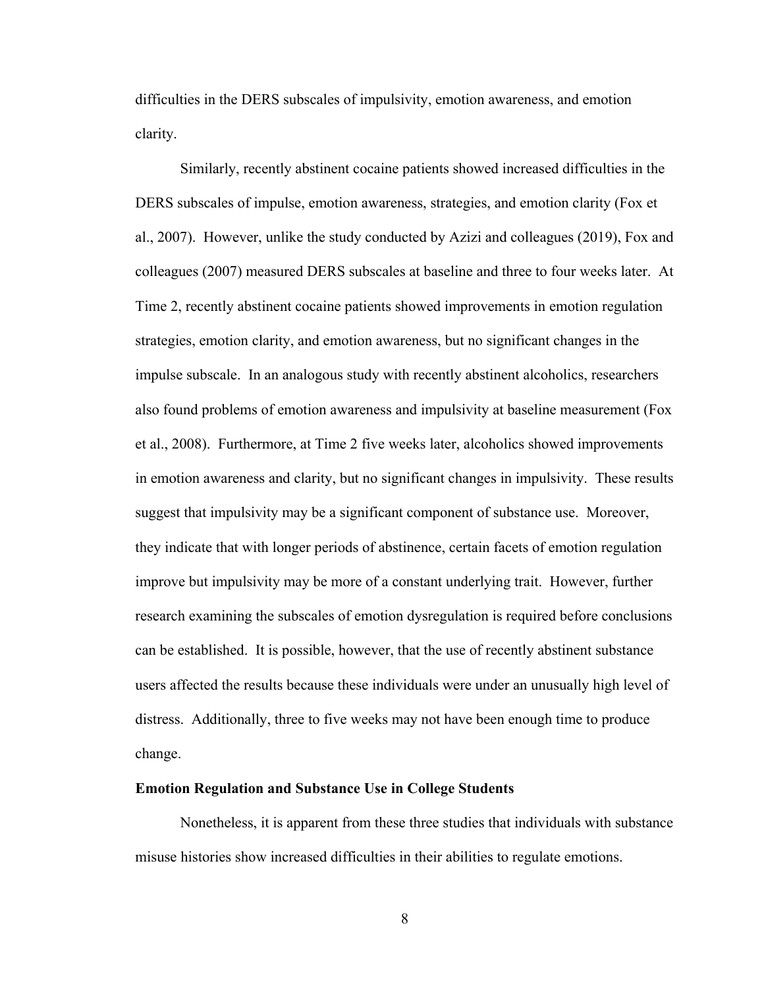difficulties in the DERS subscales of impulsivity, emotion awareness, and emotion clarity.

Similarly, recently abstinent cocaine patients showed increased difficulties in the DERS subscales of impulse, emotion awareness, strategies, and emotion clarity (Fox et al., 2007). However, unlike the study conducted by Azizi and colleagues (2019), Fox and colleagues (2007) measured DERS subscales at baseline and three to four weeks later. At Time 2, recently abstinent cocaine patients showed improvements in emotion regulation strategies, emotion clarity, and emotion awareness, but no significant changes in the impulse subscale. In an analogous study with recently abstinent alcoholics, researchers also found problems of emotion awareness and impulsivity at baseline measurement (Fox et al., 2008). Furthermore, at Time 2 five weeks later, alcoholics showed improvements in emotion awareness and clarity, but no significant changes in impulsivity. These results suggest that impulsivity may be a significant component of substance use. Moreover, they indicate that with longer periods of abstinence, certain facets of emotion regulation improve but impulsivity may be more of a constant underlying trait. However, further research examining the subscales of emotion dysregulation is required before conclusions can be established. It is possible, however, that the use of recently abstinent substance users affected the results because these individuals were under an unusually high level of distress. Additionally, three to five weeks may not have been enough time to produce change.

# **Emotion Regulation and Substance Use in College Students**

Nonetheless, it is apparent from these three studies that individuals with substance misuse histories show increased difficulties in their abilities to regulate emotions.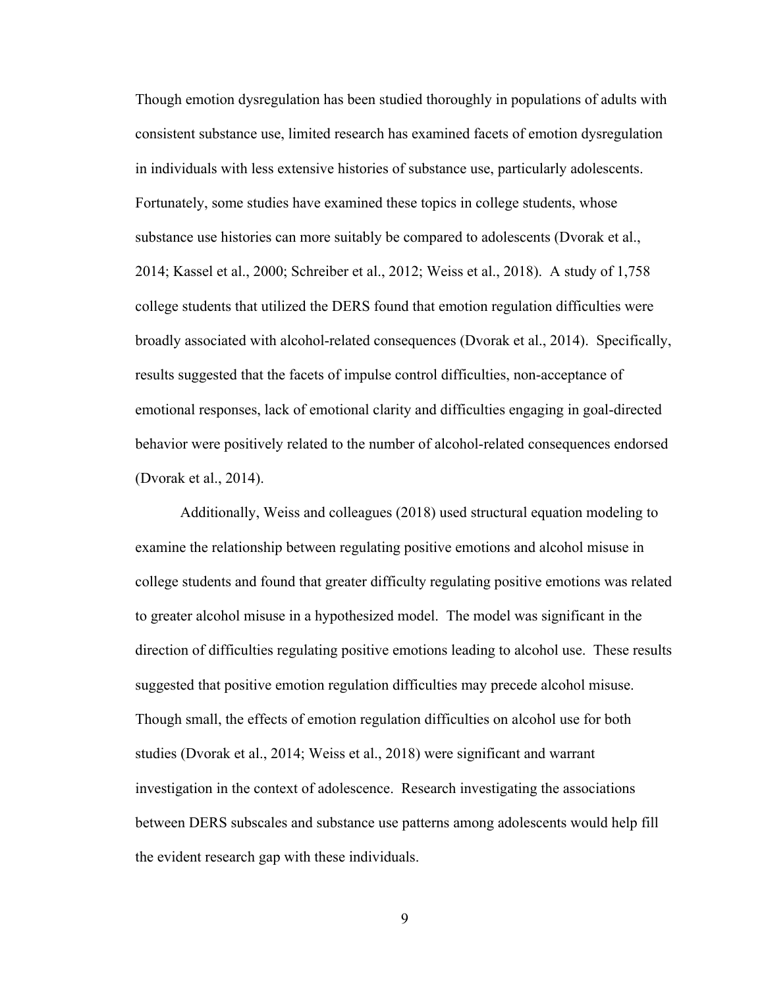Though emotion dysregulation has been studied thoroughly in populations of adults with consistent substance use, limited research has examined facets of emotion dysregulation in individuals with less extensive histories of substance use, particularly adolescents. Fortunately, some studies have examined these topics in college students, whose substance use histories can more suitably be compared to adolescents (Dvorak et al., 2014; Kassel et al., 2000; Schreiber et al., 2012; Weiss et al., 2018). A study of 1,758 college students that utilized the DERS found that emotion regulation difficulties were broadly associated with alcohol-related consequences (Dvorak et al., 2014). Specifically, results suggested that the facets of impulse control difficulties, non-acceptance of emotional responses, lack of emotional clarity and difficulties engaging in goal-directed behavior were positively related to the number of alcohol-related consequences endorsed (Dvorak et al., 2014).

Additionally, Weiss and colleagues (2018) used structural equation modeling to examine the relationship between regulating positive emotions and alcohol misuse in college students and found that greater difficulty regulating positive emotions was related to greater alcohol misuse in a hypothesized model. The model was significant in the direction of difficulties regulating positive emotions leading to alcohol use. These results suggested that positive emotion regulation difficulties may precede alcohol misuse. Though small, the effects of emotion regulation difficulties on alcohol use for both studies (Dvorak et al., 2014; Weiss et al., 2018) were significant and warrant investigation in the context of adolescence. Research investigating the associations between DERS subscales and substance use patterns among adolescents would help fill the evident research gap with these individuals.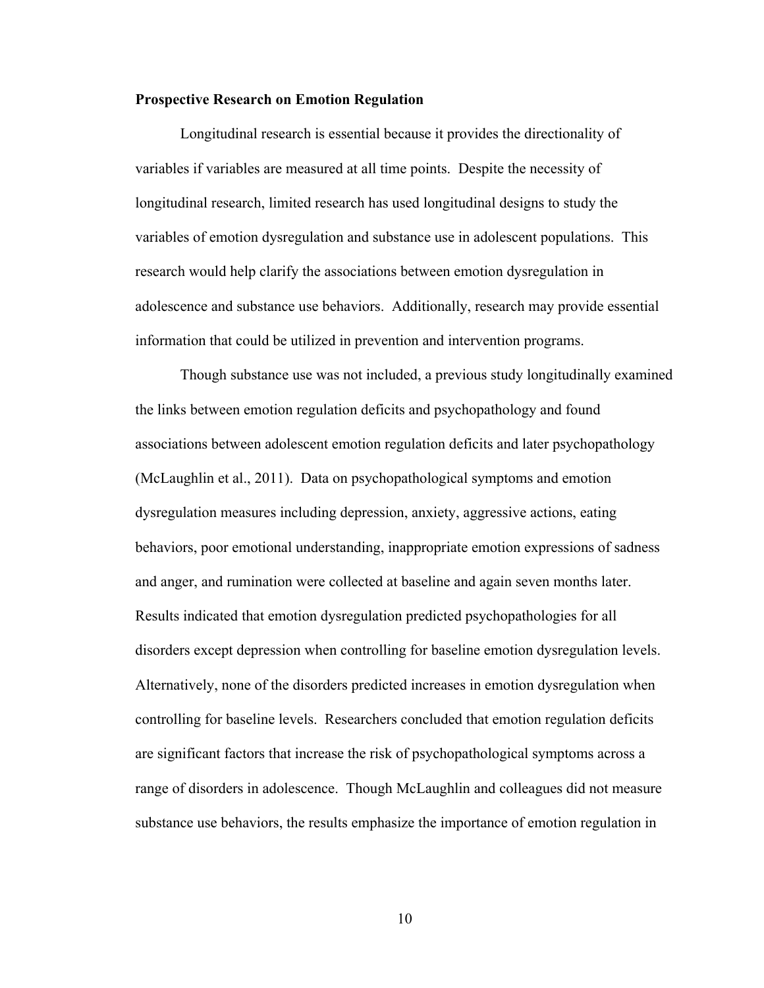## **Prospective Research on Emotion Regulation**

Longitudinal research is essential because it provides the directionality of variables if variables are measured at all time points. Despite the necessity of longitudinal research, limited research has used longitudinal designs to study the variables of emotion dysregulation and substance use in adolescent populations. This research would help clarify the associations between emotion dysregulation in adolescence and substance use behaviors. Additionally, research may provide essential information that could be utilized in prevention and intervention programs.

Though substance use was not included, a previous study longitudinally examined the links between emotion regulation deficits and psychopathology and found associations between adolescent emotion regulation deficits and later psychopathology (McLaughlin et al., 2011). Data on psychopathological symptoms and emotion dysregulation measures including depression, anxiety, aggressive actions, eating behaviors, poor emotional understanding, inappropriate emotion expressions of sadness and anger, and rumination were collected at baseline and again seven months later. Results indicated that emotion dysregulation predicted psychopathologies for all disorders except depression when controlling for baseline emotion dysregulation levels. Alternatively, none of the disorders predicted increases in emotion dysregulation when controlling for baseline levels. Researchers concluded that emotion regulation deficits are significant factors that increase the risk of psychopathological symptoms across a range of disorders in adolescence. Though McLaughlin and colleagues did not measure substance use behaviors, the results emphasize the importance of emotion regulation in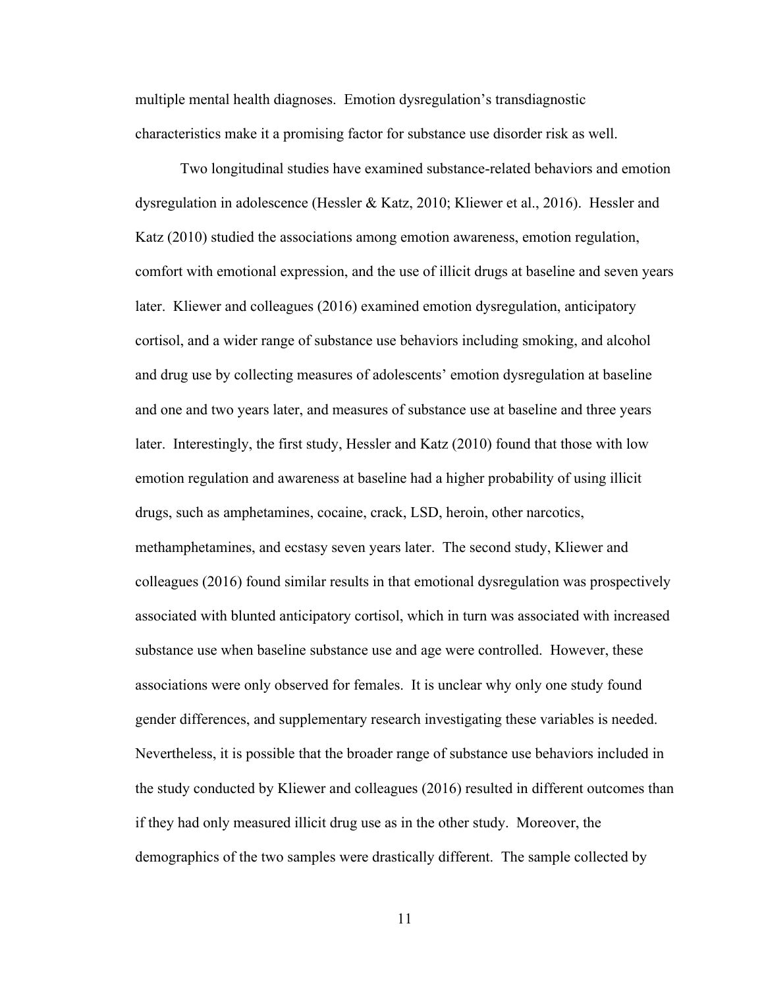multiple mental health diagnoses. Emotion dysregulation's transdiagnostic characteristics make it a promising factor for substance use disorder risk as well.

Two longitudinal studies have examined substance-related behaviors and emotion dysregulation in adolescence (Hessler & Katz, 2010; Kliewer et al., 2016). Hessler and Katz (2010) studied the associations among emotion awareness, emotion regulation, comfort with emotional expression, and the use of illicit drugs at baseline and seven years later. Kliewer and colleagues (2016) examined emotion dysregulation, anticipatory cortisol, and a wider range of substance use behaviors including smoking, and alcohol and drug use by collecting measures of adolescents' emotion dysregulation at baseline and one and two years later, and measures of substance use at baseline and three years later. Interestingly, the first study, Hessler and Katz (2010) found that those with low emotion regulation and awareness at baseline had a higher probability of using illicit drugs, such as amphetamines, cocaine, crack, LSD, heroin, other narcotics, methamphetamines, and ecstasy seven years later. The second study, Kliewer and colleagues (2016) found similar results in that emotional dysregulation was prospectively associated with blunted anticipatory cortisol, which in turn was associated with increased substance use when baseline substance use and age were controlled. However, these associations were only observed for females. It is unclear why only one study found gender differences, and supplementary research investigating these variables is needed. Nevertheless, it is possible that the broader range of substance use behaviors included in the study conducted by Kliewer and colleagues (2016) resulted in different outcomes than if they had only measured illicit drug use as in the other study. Moreover, the demographics of the two samples were drastically different. The sample collected by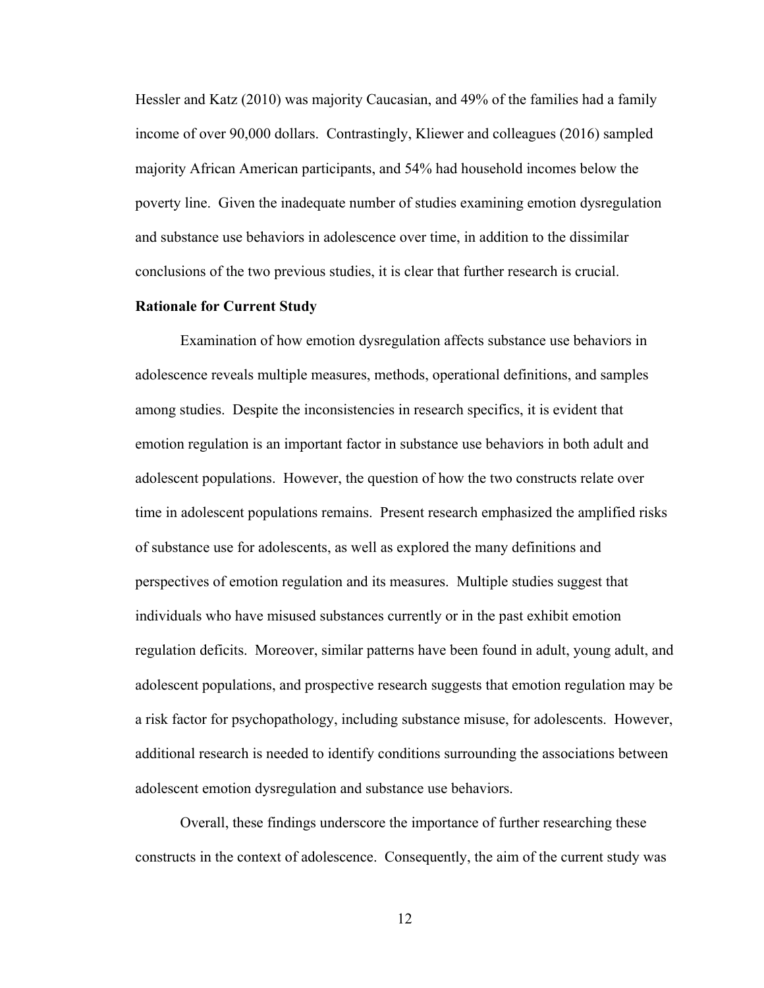Hessler and Katz (2010) was majority Caucasian, and 49% of the families had a family income of over 90,000 dollars. Contrastingly, Kliewer and colleagues (2016) sampled majority African American participants, and 54% had household incomes below the poverty line. Given the inadequate number of studies examining emotion dysregulation and substance use behaviors in adolescence over time, in addition to the dissimilar conclusions of the two previous studies, it is clear that further research is crucial.

### **Rationale for Current Study**

Examination of how emotion dysregulation affects substance use behaviors in adolescence reveals multiple measures, methods, operational definitions, and samples among studies. Despite the inconsistencies in research specifics, it is evident that emotion regulation is an important factor in substance use behaviors in both adult and adolescent populations. However, the question of how the two constructs relate over time in adolescent populations remains. Present research emphasized the amplified risks of substance use for adolescents, as well as explored the many definitions and perspectives of emotion regulation and its measures. Multiple studies suggest that individuals who have misused substances currently or in the past exhibit emotion regulation deficits. Moreover, similar patterns have been found in adult, young adult, and adolescent populations, and prospective research suggests that emotion regulation may be a risk factor for psychopathology, including substance misuse, for adolescents. However, additional research is needed to identify conditions surrounding the associations between adolescent emotion dysregulation and substance use behaviors.

Overall, these findings underscore the importance of further researching these constructs in the context of adolescence. Consequently, the aim of the current study was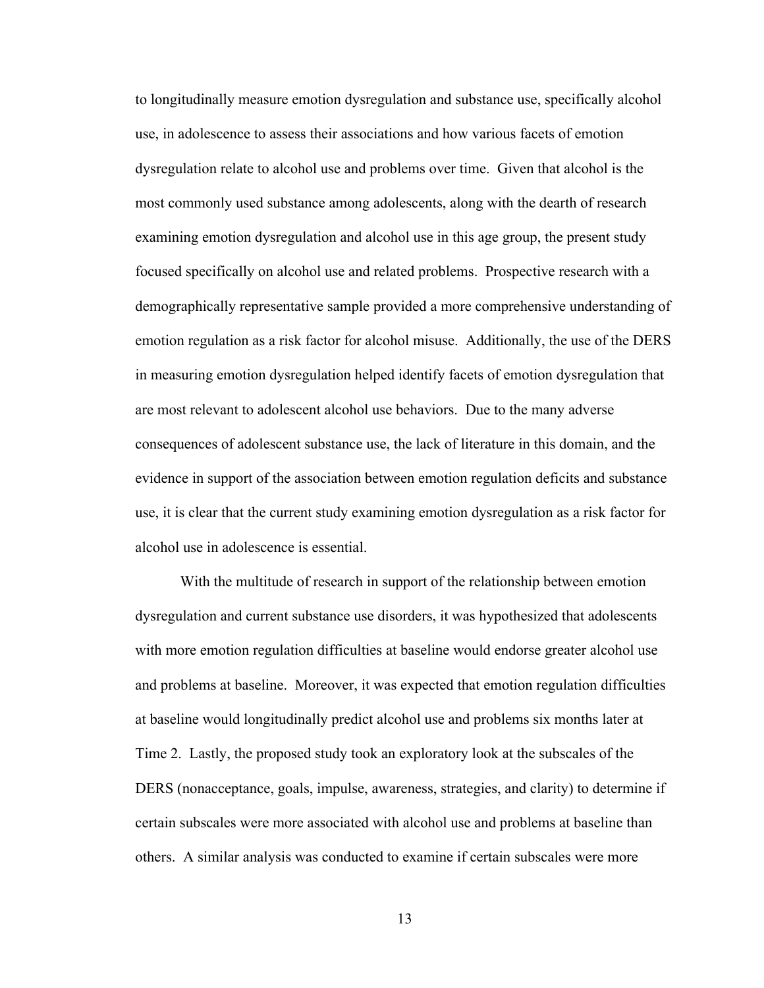to longitudinally measure emotion dysregulation and substance use, specifically alcohol use, in adolescence to assess their associations and how various facets of emotion dysregulation relate to alcohol use and problems over time. Given that alcohol is the most commonly used substance among adolescents, along with the dearth of research examining emotion dysregulation and alcohol use in this age group, the present study focused specifically on alcohol use and related problems. Prospective research with a demographically representative sample provided a more comprehensive understanding of emotion regulation as a risk factor for alcohol misuse. Additionally, the use of the DERS in measuring emotion dysregulation helped identify facets of emotion dysregulation that are most relevant to adolescent alcohol use behaviors. Due to the many adverse consequences of adolescent substance use, the lack of literature in this domain, and the evidence in support of the association between emotion regulation deficits and substance use, it is clear that the current study examining emotion dysregulation as a risk factor for alcohol use in adolescence is essential.

With the multitude of research in support of the relationship between emotion dysregulation and current substance use disorders, it was hypothesized that adolescents with more emotion regulation difficulties at baseline would endorse greater alcohol use and problems at baseline. Moreover, it was expected that emotion regulation difficulties at baseline would longitudinally predict alcohol use and problems six months later at Time 2. Lastly, the proposed study took an exploratory look at the subscales of the DERS (nonacceptance, goals, impulse, awareness, strategies, and clarity) to determine if certain subscales were more associated with alcohol use and problems at baseline than others. A similar analysis was conducted to examine if certain subscales were more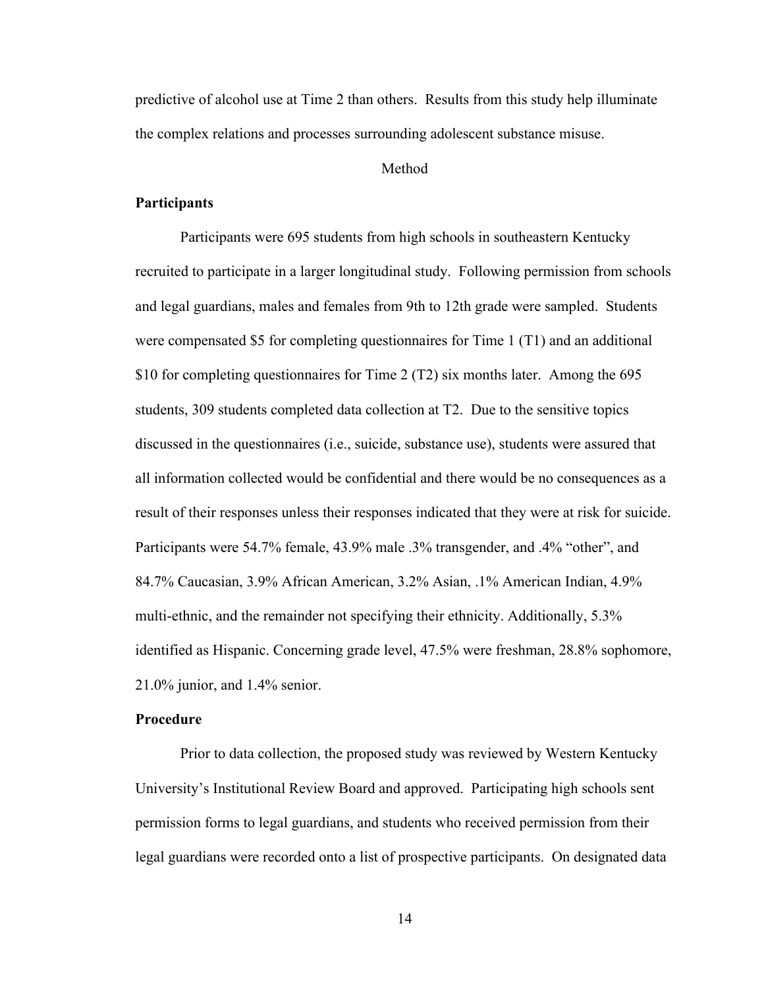predictive of alcohol use at Time 2 than others. Results from this study help illuminate the complex relations and processes surrounding adolescent substance misuse.

# **Method**

## **Participants**

Participants were 695 students from high schools in southeastern Kentucky recruited to participate in a larger longitudinal study. Following permission from schools and legal guardians, males and females from 9th to 12th grade were sampled. Students were compensated \$5 for completing questionnaires for Time 1 (T1) and an additional \$10 for completing questionnaires for Time 2 (T2) six months later. Among the 695 students, 309 students completed data collection at T2. Due to the sensitive topics discussed in the questionnaires (i.e., suicide, substance use), students were assured that all information collected would be confidential and there would be no consequences as a result of their responses unless their responses indicated that they were at risk for suicide. Participants were 54.7% female, 43.9% male .3% transgender, and .4% "other", and 84.7% Caucasian, 3.9% African American, 3.2% Asian, .1% American Indian, 4.9% multi-ethnic, and the remainder not specifying their ethnicity. Additionally, 5.3% identified as Hispanic. Concerning grade level, 47.5% were freshman, 28.8% sophomore, 21.0% junior, and 1.4% senior.

## **Procedure**

Prior to data collection, the proposed study was reviewed by Western Kentucky University's Institutional Review Board and approved. Participating high schools sent permission forms to legal guardians, and students who received permission from their legal guardians were recorded onto a list of prospective participants. On designated data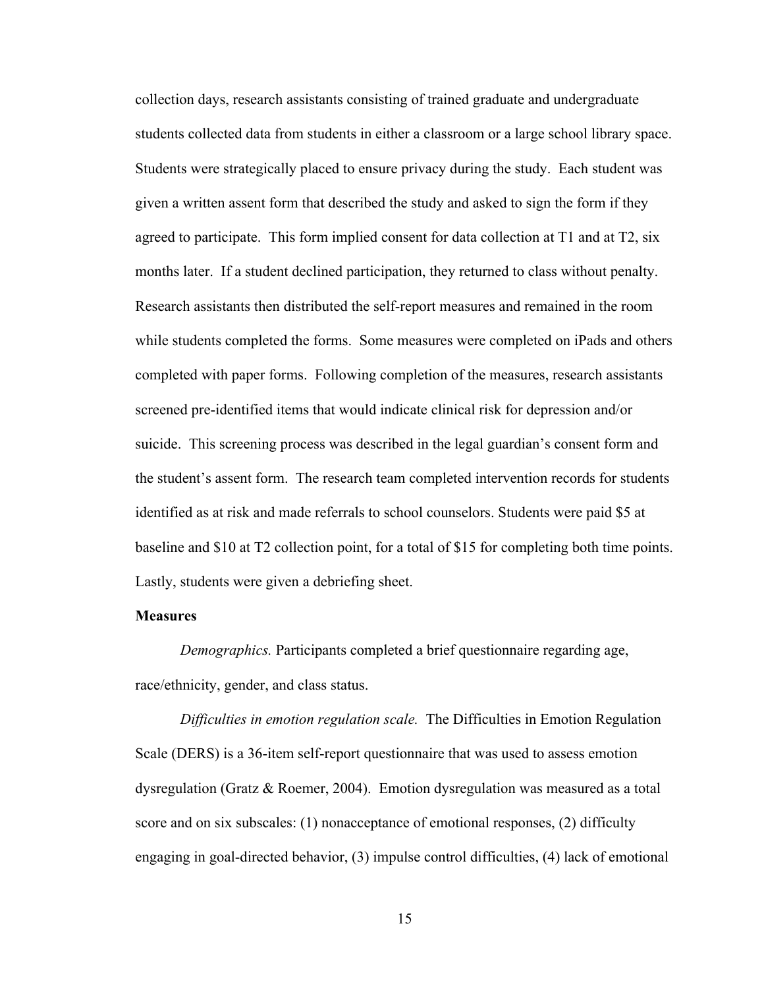collection days, research assistants consisting of trained graduate and undergraduate students collected data from students in either a classroom or a large school library space. Students were strategically placed to ensure privacy during the study. Each student was given a written assent form that described the study and asked to sign the form if they agreed to participate. This form implied consent for data collection at T1 and at T2, six months later. If a student declined participation, they returned to class without penalty. Research assistants then distributed the self-report measures and remained in the room while students completed the forms. Some measures were completed on iPads and others completed with paper forms. Following completion of the measures, research assistants screened pre-identified items that would indicate clinical risk for depression and/or suicide. This screening process was described in the legal guardian's consent form and the student's assent form. The research team completed intervention records for students identified as at risk and made referrals to school counselors. Students were paid \$5 at baseline and \$10 at T2 collection point, for a total of \$15 for completing both time points. Lastly, students were given a debriefing sheet.

# **Measures**

*Demographics.* Participants completed a brief questionnaire regarding age, race/ethnicity, gender, and class status.

*Difficulties in emotion regulation scale.* The Difficulties in Emotion Regulation Scale (DERS) is a 36-item self-report questionnaire that was used to assess emotion dysregulation (Gratz & Roemer, 2004). Emotion dysregulation was measured as a total score and on six subscales: (1) nonacceptance of emotional responses, (2) difficulty engaging in goal-directed behavior, (3) impulse control difficulties, (4) lack of emotional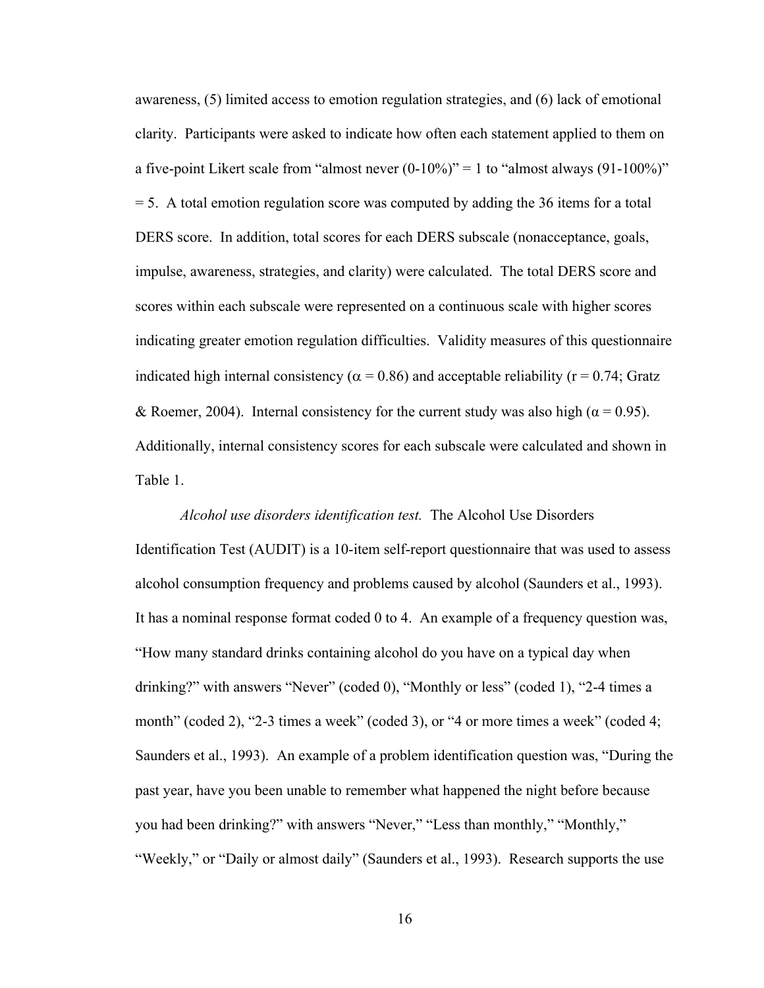awareness, (5) limited access to emotion regulation strategies, and (6) lack of emotional clarity. Participants were asked to indicate how often each statement applied to them on a five-point Likert scale from "almost never  $(0-10\%)$ " = 1 to "almost always  $(91-100\%)$ "  $=$  5. A total emotion regulation score was computed by adding the 36 items for a total DERS score. In addition, total scores for each DERS subscale (nonacceptance, goals, impulse, awareness, strategies, and clarity) were calculated. The total DERS score and scores within each subscale were represented on a continuous scale with higher scores indicating greater emotion regulation difficulties. Validity measures of this questionnaire indicated high internal consistency ( $\alpha$  = 0.86) and acceptable reliability ( $r$  = 0.74; Gratz & Roemer, 2004). Internal consistency for the current study was also high ( $\alpha$  = 0.95). Additionally, internal consistency scores for each subscale were calculated and shown in Table 1.

*Alcohol use disorders identification test.* The Alcohol Use Disorders Identification Test (AUDIT) is a 10-item self-report questionnaire that was used to assess alcohol consumption frequency and problems caused by alcohol (Saunders et al., 1993). It has a nominal response format coded 0 to 4. An example of a frequency question was, "How many standard drinks containing alcohol do you have on a typical day when drinking?" with answers "Never" (coded 0), "Monthly or less" (coded 1), "2-4 times a month" (coded 2), "2-3 times a week" (coded 3), or "4 or more times a week" (coded 4; Saunders et al., 1993). An example of a problem identification question was, "During the past year, have you been unable to remember what happened the night before because you had been drinking?" with answers "Never," "Less than monthly," "Monthly," "Weekly," or "Daily or almost daily" (Saunders et al., 1993). Research supports the use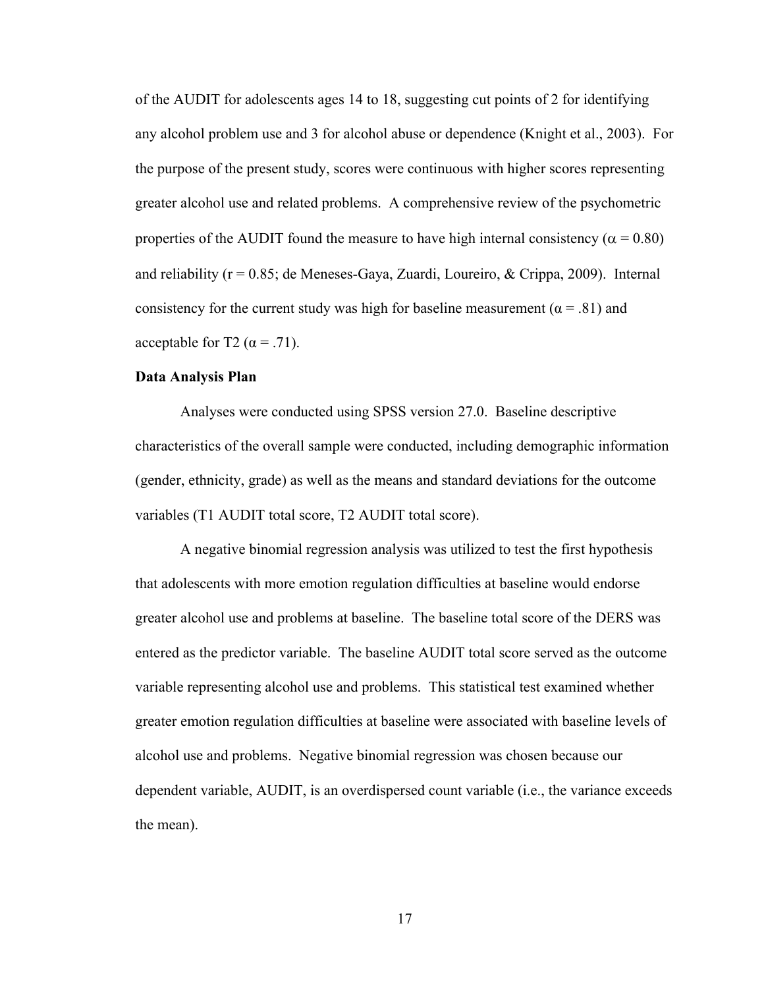of the AUDIT for adolescents ages 14 to 18, suggesting cut points of 2 for identifying any alcohol problem use and 3 for alcohol abuse or dependence (Knight et al., 2003). For the purpose of the present study, scores were continuous with higher scores representing greater alcohol use and related problems. A comprehensive review of the psychometric properties of the AUDIT found the measure to have high internal consistency ( $\alpha$  = 0.80) and reliability ( $r = 0.85$ ; de Meneses-Gaya, Zuardi, Loureiro, & Crippa, 2009). Internal consistency for the current study was high for baseline measurement ( $\alpha$  = .81) and acceptable for T2 ( $\alpha$  = .71).

# **Data Analysis Plan**

Analyses were conducted using SPSS version 27.0. Baseline descriptive characteristics of the overall sample were conducted, including demographic information (gender, ethnicity, grade) as well as the means and standard deviations for the outcome variables (T1 AUDIT total score, T2 AUDIT total score).

A negative binomial regression analysis was utilized to test the first hypothesis that adolescents with more emotion regulation difficulties at baseline would endorse greater alcohol use and problems at baseline. The baseline total score of the DERS was entered as the predictor variable. The baseline AUDIT total score served as the outcome variable representing alcohol use and problems. This statistical test examined whether greater emotion regulation difficulties at baseline were associated with baseline levels of alcohol use and problems. Negative binomial regression was chosen because our dependent variable, AUDIT, is an overdispersed count variable (i.e., the variance exceeds the mean).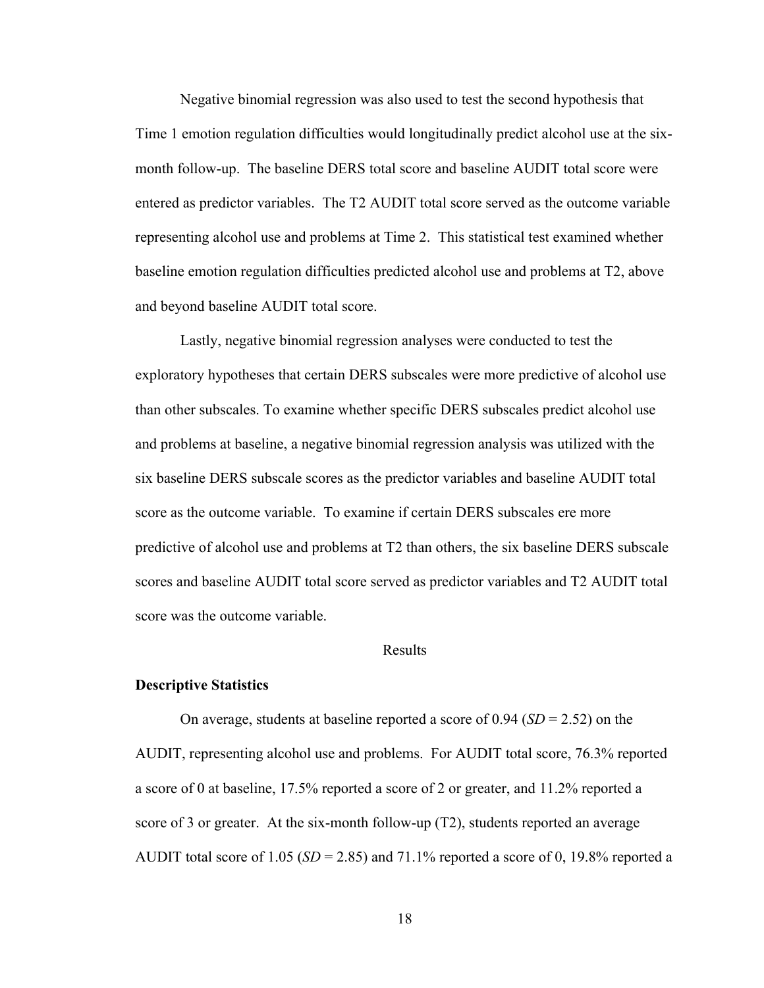Negative binomial regression was also used to test the second hypothesis that Time 1 emotion regulation difficulties would longitudinally predict alcohol use at the sixmonth follow-up. The baseline DERS total score and baseline AUDIT total score were entered as predictor variables. The T2 AUDIT total score served as the outcome variable representing alcohol use and problems at Time 2. This statistical test examined whether baseline emotion regulation difficulties predicted alcohol use and problems at T2, above and beyond baseline AUDIT total score.

Lastly, negative binomial regression analyses were conducted to test the exploratory hypotheses that certain DERS subscales were more predictive of alcohol use than other subscales. To examine whether specific DERS subscales predict alcohol use and problems at baseline, a negative binomial regression analysis was utilized with the six baseline DERS subscale scores as the predictor variables and baseline AUDIT total score as the outcome variable. To examine if certain DERS subscales ere more predictive of alcohol use and problems at T2 than others, the six baseline DERS subscale scores and baseline AUDIT total score served as predictor variables and T2 AUDIT total score was the outcome variable.

### Results

#### **Descriptive Statistics**

On average, students at baseline reported a score of 0.94 (*SD* = 2.52) on the AUDIT, representing alcohol use and problems. For AUDIT total score, 76.3% reported a score of 0 at baseline, 17.5% reported a score of 2 or greater, and 11.2% reported a score of 3 or greater. At the six-month follow-up (T2), students reported an average AUDIT total score of 1.05 (*SD* = 2.85) and 71.1% reported a score of 0, 19.8% reported a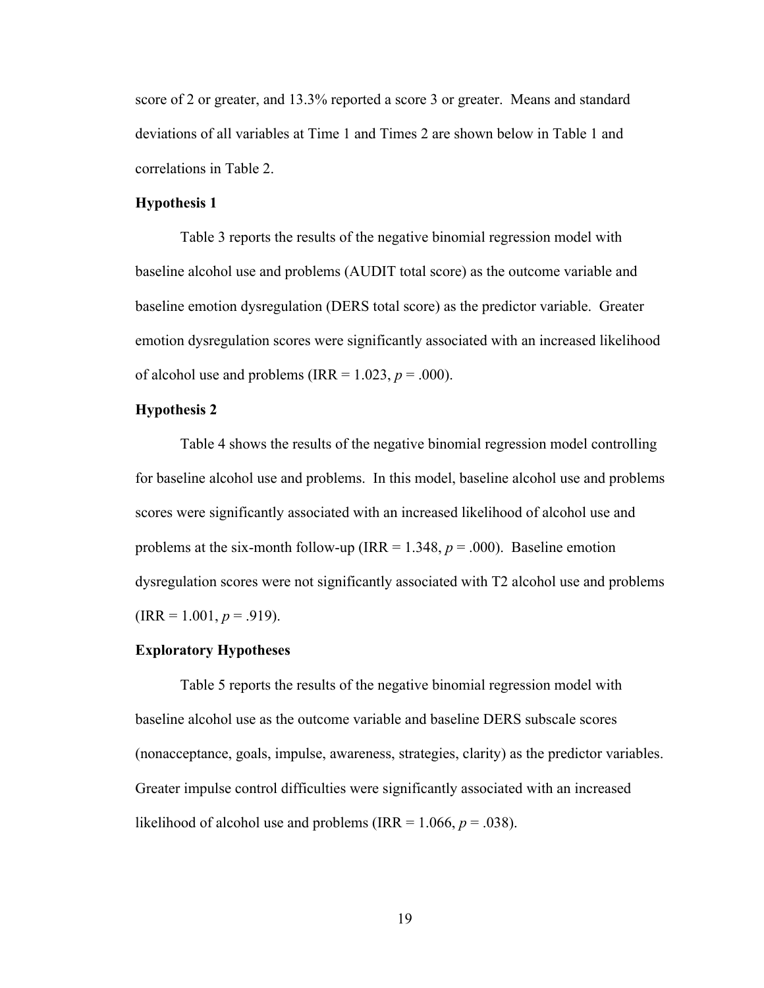score of 2 or greater, and 13.3% reported a score 3 or greater. Means and standard deviations of all variables at Time 1 and Times 2 are shown below in Table 1 and correlations in Table 2.

### **Hypothesis 1**

Table 3 reports the results of the negative binomial regression model with baseline alcohol use and problems (AUDIT total score) as the outcome variable and baseline emotion dysregulation (DERS total score) as the predictor variable. Greater emotion dysregulation scores were significantly associated with an increased likelihood of alcohol use and problems (IRR  $= 1.023$ ,  $p = .000$ ).

# **Hypothesis 2**

Table 4 shows the results of the negative binomial regression model controlling for baseline alcohol use and problems. In this model, baseline alcohol use and problems scores were significantly associated with an increased likelihood of alcohol use and problems at the six-month follow-up (IRR =  $1.348$ ,  $p = .000$ ). Baseline emotion dysregulation scores were not significantly associated with T2 alcohol use and problems  $\text{(IRR} = 1.001, p = .919).$ 

### **Exploratory Hypotheses**

Table 5 reports the results of the negative binomial regression model with baseline alcohol use as the outcome variable and baseline DERS subscale scores (nonacceptance, goals, impulse, awareness, strategies, clarity) as the predictor variables. Greater impulse control difficulties were significantly associated with an increased likelihood of alcohol use and problems (IRR =  $1.066$ ,  $p = .038$ ).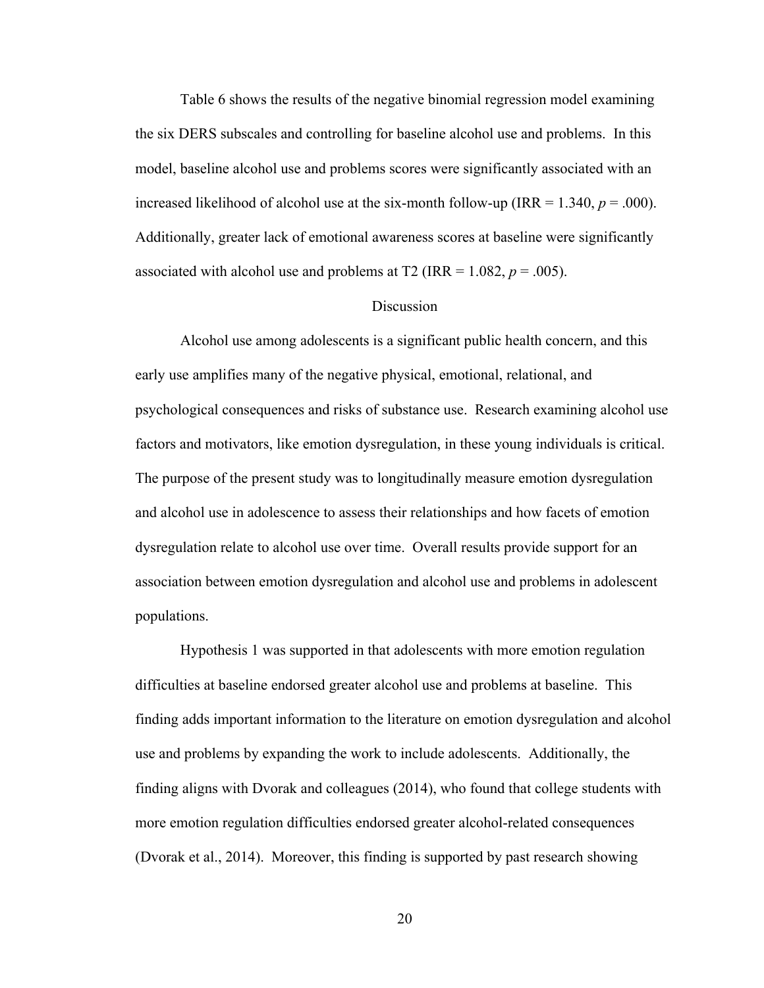Table 6 shows the results of the negative binomial regression model examining the six DERS subscales and controlling for baseline alcohol use and problems. In this model, baseline alcohol use and problems scores were significantly associated with an increased likelihood of alcohol use at the six-month follow-up (IRR =  $1.340, p = .000$ ). Additionally, greater lack of emotional awareness scores at baseline were significantly associated with alcohol use and problems at T2 (IRR =  $1.082$ ,  $p = .005$ ).

## Discussion

Alcohol use among adolescents is a significant public health concern, and this early use amplifies many of the negative physical, emotional, relational, and psychological consequences and risks of substance use. Research examining alcohol use factors and motivators, like emotion dysregulation, in these young individuals is critical. The purpose of the present study was to longitudinally measure emotion dysregulation and alcohol use in adolescence to assess their relationships and how facets of emotion dysregulation relate to alcohol use over time. Overall results provide support for an association between emotion dysregulation and alcohol use and problems in adolescent populations.

Hypothesis 1 was supported in that adolescents with more emotion regulation difficulties at baseline endorsed greater alcohol use and problems at baseline. This finding adds important information to the literature on emotion dysregulation and alcohol use and problems by expanding the work to include adolescents. Additionally, the finding aligns with Dvorak and colleagues (2014), who found that college students with more emotion regulation difficulties endorsed greater alcohol-related consequences (Dvorak et al., 2014). Moreover, this finding is supported by past research showing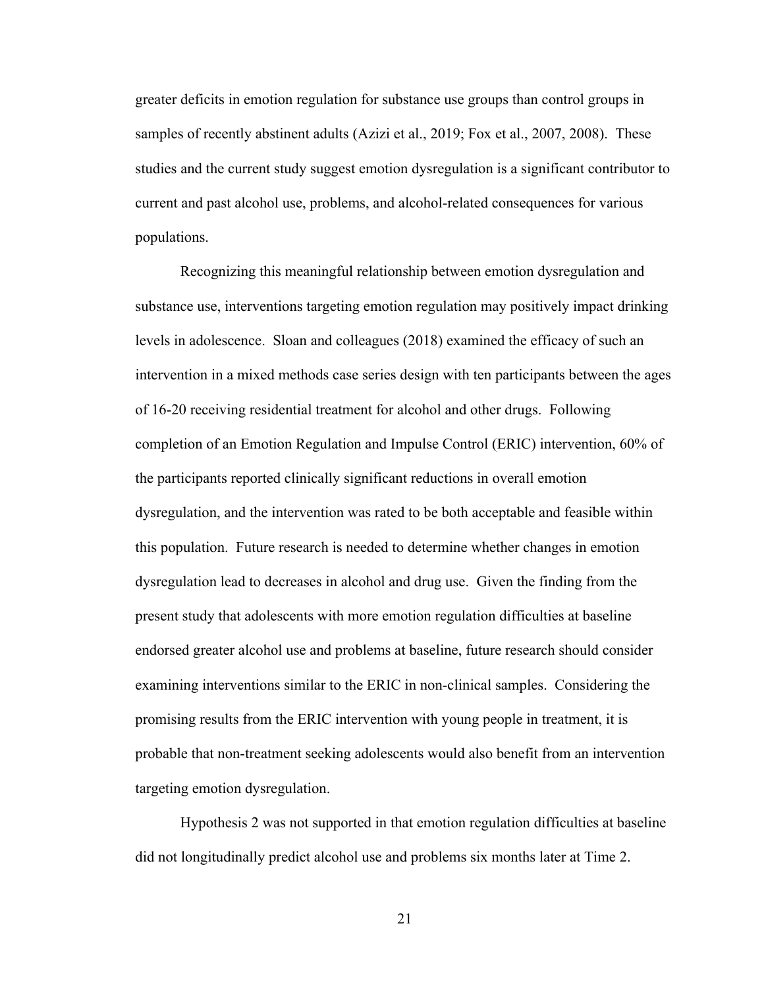greater deficits in emotion regulation for substance use groups than control groups in samples of recently abstinent adults (Azizi et al., 2019; Fox et al., 2007, 2008). These studies and the current study suggest emotion dysregulation is a significant contributor to current and past alcohol use, problems, and alcohol-related consequences for various populations.

Recognizing this meaningful relationship between emotion dysregulation and substance use, interventions targeting emotion regulation may positively impact drinking levels in adolescence. Sloan and colleagues (2018) examined the efficacy of such an intervention in a mixed methods case series design with ten participants between the ages of 16-20 receiving residential treatment for alcohol and other drugs. Following completion of an Emotion Regulation and Impulse Control (ERIC) intervention, 60% of the participants reported clinically significant reductions in overall emotion dysregulation, and the intervention was rated to be both acceptable and feasible within this population. Future research is needed to determine whether changes in emotion dysregulation lead to decreases in alcohol and drug use. Given the finding from the present study that adolescents with more emotion regulation difficulties at baseline endorsed greater alcohol use and problems at baseline, future research should consider examining interventions similar to the ERIC in non-clinical samples. Considering the promising results from the ERIC intervention with young people in treatment, it is probable that non-treatment seeking adolescents would also benefit from an intervention targeting emotion dysregulation.

Hypothesis 2 was not supported in that emotion regulation difficulties at baseline did not longitudinally predict alcohol use and problems six months later at Time 2.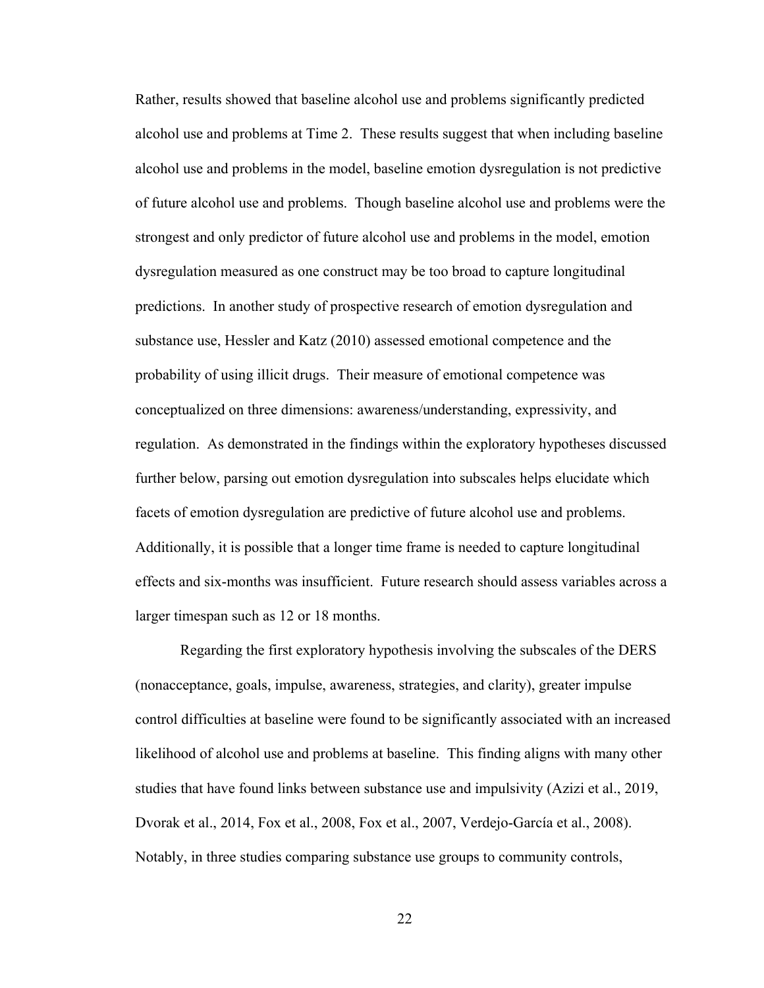Rather, results showed that baseline alcohol use and problems significantly predicted alcohol use and problems at Time 2. These results suggest that when including baseline alcohol use and problems in the model, baseline emotion dysregulation is not predictive of future alcohol use and problems. Though baseline alcohol use and problems were the strongest and only predictor of future alcohol use and problems in the model, emotion dysregulation measured as one construct may be too broad to capture longitudinal predictions. In another study of prospective research of emotion dysregulation and substance use, Hessler and Katz (2010) assessed emotional competence and the probability of using illicit drugs. Their measure of emotional competence was conceptualized on three dimensions: awareness/understanding, expressivity, and regulation. As demonstrated in the findings within the exploratory hypotheses discussed further below, parsing out emotion dysregulation into subscales helps elucidate which facets of emotion dysregulation are predictive of future alcohol use and problems. Additionally, it is possible that a longer time frame is needed to capture longitudinal effects and six-months was insufficient. Future research should assess variables across a larger timespan such as 12 or 18 months.

Regarding the first exploratory hypothesis involving the subscales of the DERS (nonacceptance, goals, impulse, awareness, strategies, and clarity), greater impulse control difficulties at baseline were found to be significantly associated with an increased likelihood of alcohol use and problems at baseline. This finding aligns with many other studies that have found links between substance use and impulsivity (Azizi et al., 2019, Dvorak et al., 2014, Fox et al., 2008, Fox et al., 2007, Verdejo-García et al., 2008). Notably, in three studies comparing substance use groups to community controls,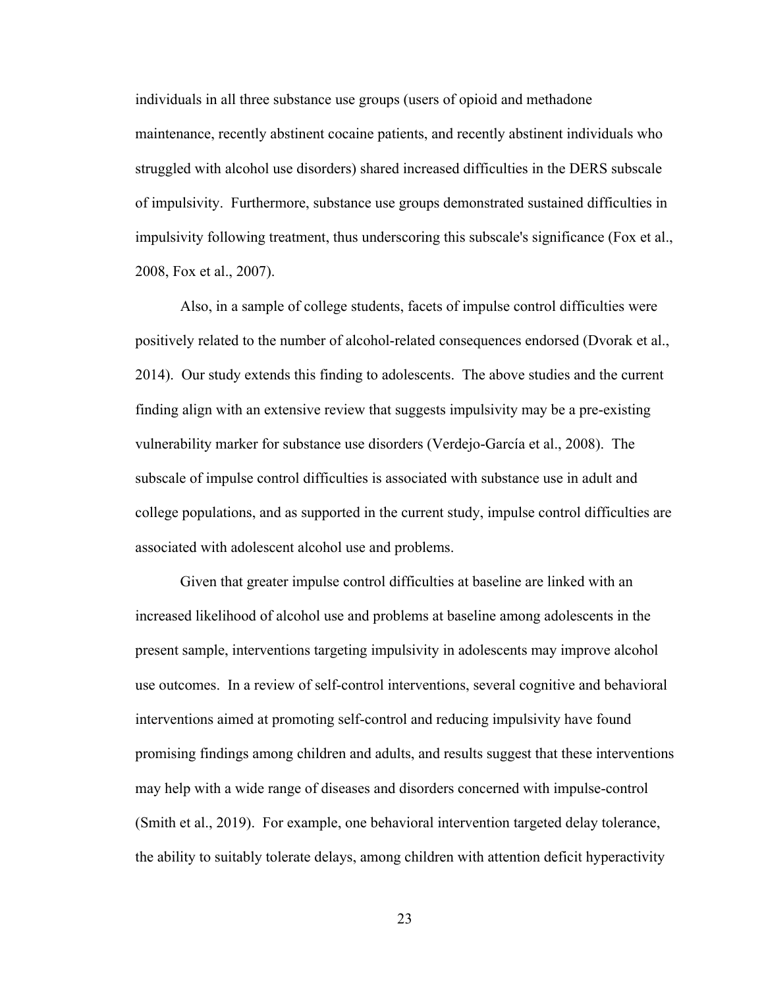individuals in all three substance use groups (users of opioid and methadone maintenance, recently abstinent cocaine patients, and recently abstinent individuals who struggled with alcohol use disorders) shared increased difficulties in the DERS subscale of impulsivity. Furthermore, substance use groups demonstrated sustained difficulties in impulsivity following treatment, thus underscoring this subscale's significance (Fox et al., 2008, Fox et al., 2007).

Also, in a sample of college students, facets of impulse control difficulties were positively related to the number of alcohol-related consequences endorsed (Dvorak et al., 2014). Our study extends this finding to adolescents. The above studies and the current finding align with an extensive review that suggests impulsivity may be a pre-existing vulnerability marker for substance use disorders (Verdejo-García et al., 2008). The subscale of impulse control difficulties is associated with substance use in adult and college populations, and as supported in the current study, impulse control difficulties are associated with adolescent alcohol use and problems.

Given that greater impulse control difficulties at baseline are linked with an increased likelihood of alcohol use and problems at baseline among adolescents in the present sample, interventions targeting impulsivity in adolescents may improve alcohol use outcomes. In a review of self-control interventions, several cognitive and behavioral interventions aimed at promoting self-control and reducing impulsivity have found promising findings among children and adults, and results suggest that these interventions may help with a wide range of diseases and disorders concerned with impulse-control (Smith et al., 2019). For example, one behavioral intervention targeted delay tolerance, the ability to suitably tolerate delays, among children with attention deficit hyperactivity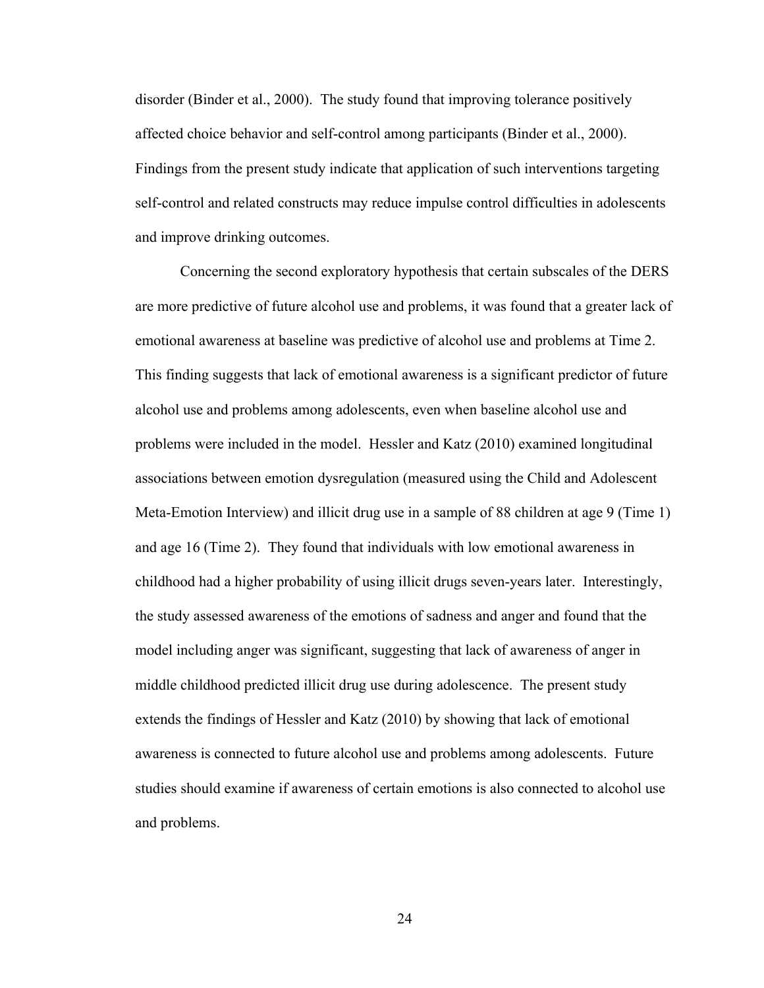disorder (Binder et al., 2000). The study found that improving tolerance positively affected choice behavior and self-control among participants (Binder et al., 2000). Findings from the present study indicate that application of such interventions targeting self-control and related constructs may reduce impulse control difficulties in adolescents and improve drinking outcomes.

Concerning the second exploratory hypothesis that certain subscales of the DERS are more predictive of future alcohol use and problems, it was found that a greater lack of emotional awareness at baseline was predictive of alcohol use and problems at Time 2. This finding suggests that lack of emotional awareness is a significant predictor of future alcohol use and problems among adolescents, even when baseline alcohol use and problems were included in the model. Hessler and Katz (2010) examined longitudinal associations between emotion dysregulation (measured using the Child and Adolescent Meta-Emotion Interview) and illicit drug use in a sample of 88 children at age 9 (Time 1) and age 16 (Time 2). They found that individuals with low emotional awareness in childhood had a higher probability of using illicit drugs seven-years later. Interestingly, the study assessed awareness of the emotions of sadness and anger and found that the model including anger was significant, suggesting that lack of awareness of anger in middle childhood predicted illicit drug use during adolescence. The present study extends the findings of Hessler and Katz (2010) by showing that lack of emotional awareness is connected to future alcohol use and problems among adolescents. Future studies should examine if awareness of certain emotions is also connected to alcohol use and problems.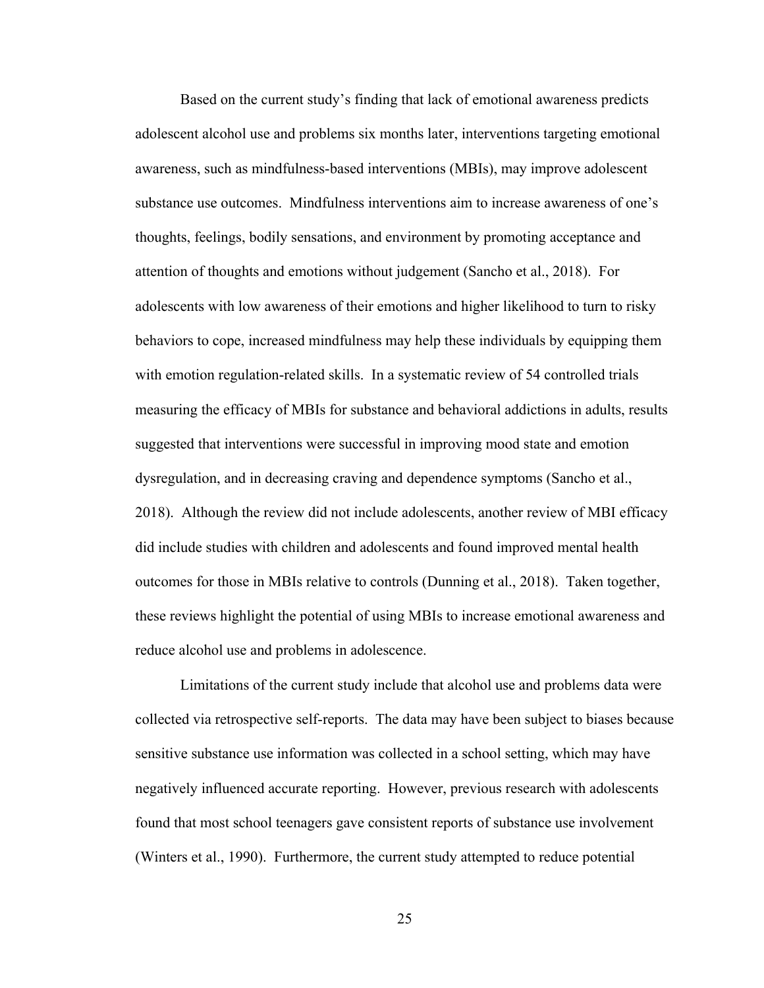Based on the current study's finding that lack of emotional awareness predicts adolescent alcohol use and problems six months later, interventions targeting emotional awareness, such as mindfulness-based interventions (MBIs), may improve adolescent substance use outcomes. Mindfulness interventions aim to increase awareness of one's thoughts, feelings, bodily sensations, and environment by promoting acceptance and attention of thoughts and emotions without judgement (Sancho et al., 2018). For adolescents with low awareness of their emotions and higher likelihood to turn to risky behaviors to cope, increased mindfulness may help these individuals by equipping them with emotion regulation-related skills. In a systematic review of 54 controlled trials measuring the efficacy of MBIs for substance and behavioral addictions in adults, results suggested that interventions were successful in improving mood state and emotion dysregulation, and in decreasing craving and dependence symptoms (Sancho et al., 2018). Although the review did not include adolescents, another review of MBI efficacy did include studies with children and adolescents and found improved mental health outcomes for those in MBIs relative to controls (Dunning et al., 2018). Taken together, these reviews highlight the potential of using MBIs to increase emotional awareness and reduce alcohol use and problems in adolescence.

Limitations of the current study include that alcohol use and problems data were collected via retrospective self-reports. The data may have been subject to biases because sensitive substance use information was collected in a school setting, which may have negatively influenced accurate reporting. However, previous research with adolescents found that most school teenagers gave consistent reports of substance use involvement (Winters et al., 1990). Furthermore, the current study attempted to reduce potential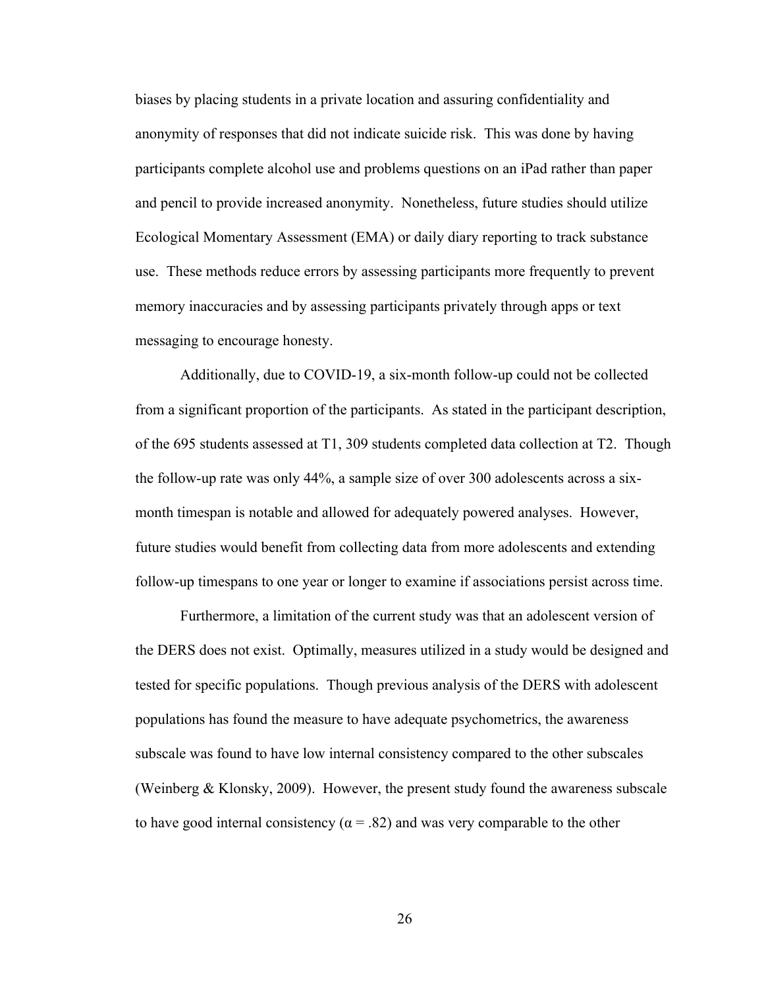biases by placing students in a private location and assuring confidentiality and anonymity of responses that did not indicate suicide risk. This was done by having participants complete alcohol use and problems questions on an iPad rather than paper and pencil to provide increased anonymity. Nonetheless, future studies should utilize Ecological Momentary Assessment (EMA) or daily diary reporting to track substance use. These methods reduce errors by assessing participants more frequently to prevent memory inaccuracies and by assessing participants privately through apps or text messaging to encourage honesty.

Additionally, due to COVID-19, a six-month follow-up could not be collected from a significant proportion of the participants. As stated in the participant description, of the 695 students assessed at T1, 309 students completed data collection at T2. Though the follow-up rate was only 44%, a sample size of over 300 adolescents across a sixmonth timespan is notable and allowed for adequately powered analyses. However, future studies would benefit from collecting data from more adolescents and extending follow-up timespans to one year or longer to examine if associations persist across time.

Furthermore, a limitation of the current study was that an adolescent version of the DERS does not exist. Optimally, measures utilized in a study would be designed and tested for specific populations. Though previous analysis of the DERS with adolescent populations has found the measure to have adequate psychometrics, the awareness subscale was found to have low internal consistency compared to the other subscales (Weinberg & Klonsky, 2009). However, the present study found the awareness subscale to have good internal consistency ( $\alpha = .82$ ) and was very comparable to the other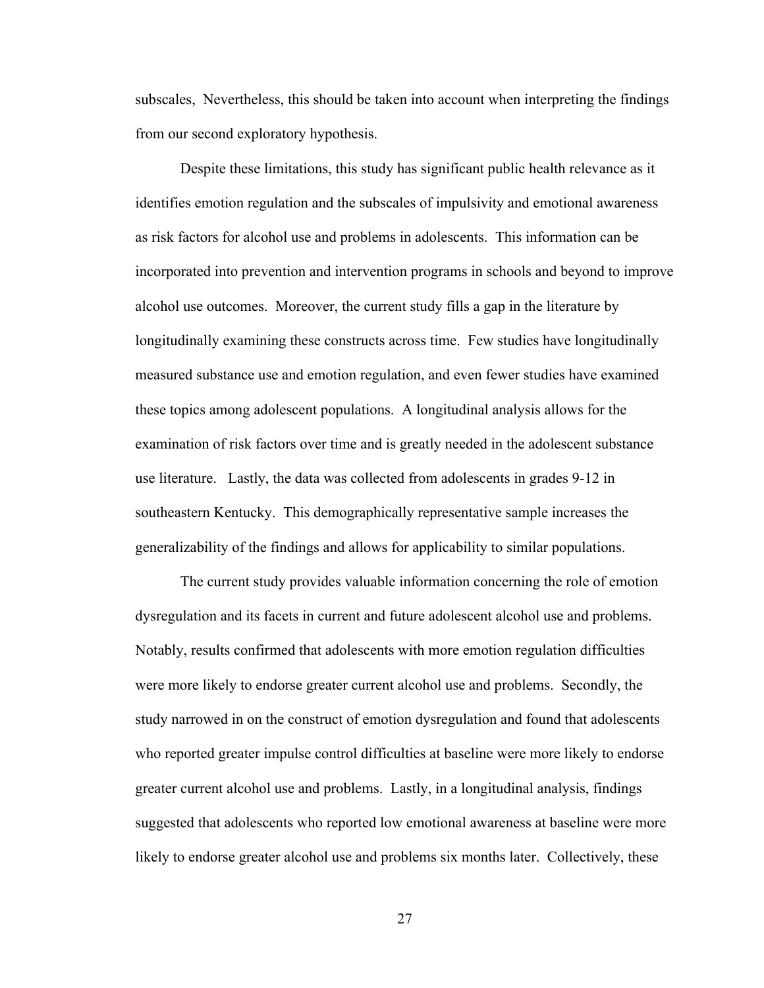subscales, Nevertheless, this should be taken into account when interpreting the findings from our second exploratory hypothesis.

Despite these limitations, this study has significant public health relevance as it identifies emotion regulation and the subscales of impulsivity and emotional awareness as risk factors for alcohol use and problems in adolescents. This information can be incorporated into prevention and intervention programs in schools and beyond to improve alcohol use outcomes. Moreover, the current study fills a gap in the literature by longitudinally examining these constructs across time. Few studies have longitudinally measured substance use and emotion regulation, and even fewer studies have examined these topics among adolescent populations. A longitudinal analysis allows for the examination of risk factors over time and is greatly needed in the adolescent substance use literature. Lastly, the data was collected from adolescents in grades 9-12 in southeastern Kentucky. This demographically representative sample increases the generalizability of the findings and allows for applicability to similar populations.

The current study provides valuable information concerning the role of emotion dysregulation and its facets in current and future adolescent alcohol use and problems. Notably, results confirmed that adolescents with more emotion regulation difficulties were more likely to endorse greater current alcohol use and problems. Secondly, the study narrowed in on the construct of emotion dysregulation and found that adolescents who reported greater impulse control difficulties at baseline were more likely to endorse greater current alcohol use and problems. Lastly, in a longitudinal analysis, findings suggested that adolescents who reported low emotional awareness at baseline were more likely to endorse greater alcohol use and problems six months later. Collectively, these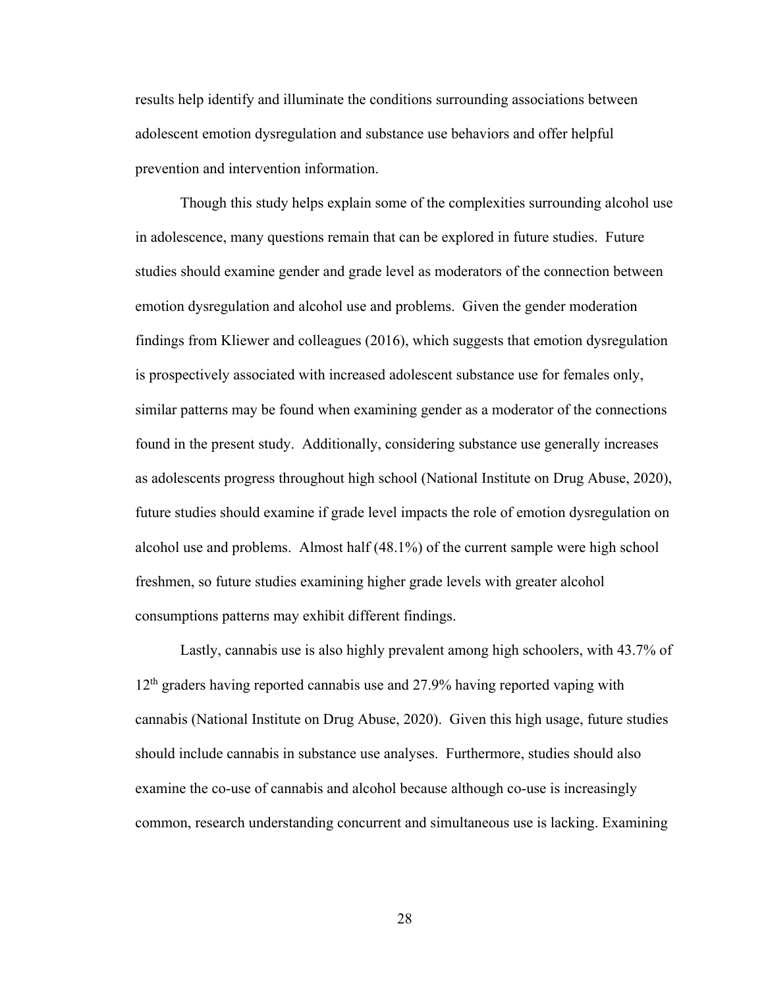results help identify and illuminate the conditions surrounding associations between adolescent emotion dysregulation and substance use behaviors and offer helpful prevention and intervention information.

Though this study helps explain some of the complexities surrounding alcohol use in adolescence, many questions remain that can be explored in future studies. Future studies should examine gender and grade level as moderators of the connection between emotion dysregulation and alcohol use and problems. Given the gender moderation findings from Kliewer and colleagues (2016), which suggests that emotion dysregulation is prospectively associated with increased adolescent substance use for females only, similar patterns may be found when examining gender as a moderator of the connections found in the present study. Additionally, considering substance use generally increases as adolescents progress throughout high school (National Institute on Drug Abuse, 2020), future studies should examine if grade level impacts the role of emotion dysregulation on alcohol use and problems. Almost half (48.1%) of the current sample were high school freshmen, so future studies examining higher grade levels with greater alcohol consumptions patterns may exhibit different findings.

Lastly, cannabis use is also highly prevalent among high schoolers, with 43.7% of 12th graders having reported cannabis use and 27.9% having reported vaping with cannabis (National Institute on Drug Abuse, 2020). Given this high usage, future studies should include cannabis in substance use analyses. Furthermore, studies should also examine the co-use of cannabis and alcohol because although co-use is increasingly common, research understanding concurrent and simultaneous use is lacking. Examining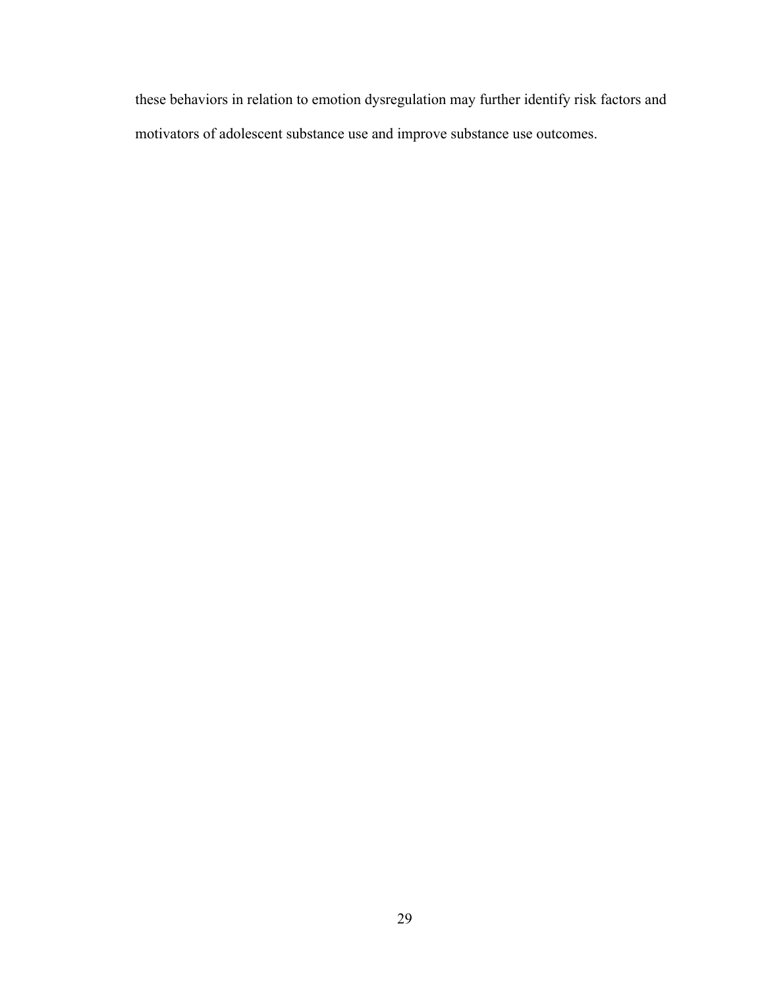these behaviors in relation to emotion dysregulation may further identify risk factors and motivators of adolescent substance use and improve substance use outcomes.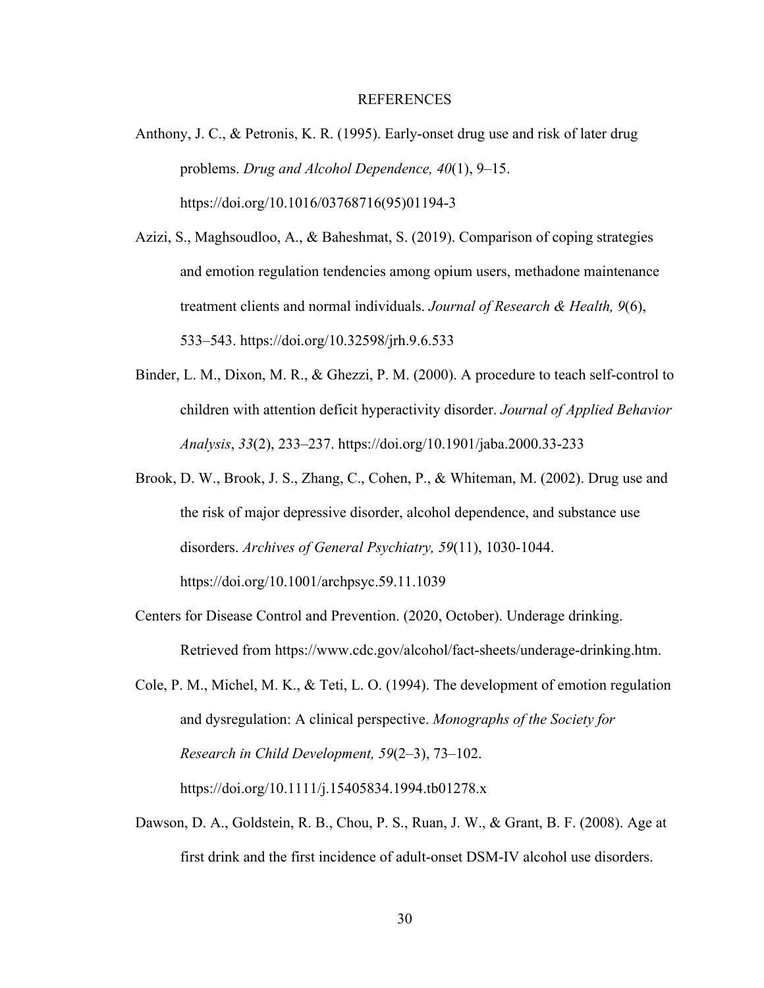### REFERENCES

- Anthony, J. C., & Petronis, K. R. (1995). Early-onset drug use and risk of later drug problems. *Drug and Alcohol Dependence, 40*(1), 9–15. https://doi.org/10.1016/03768716(95)01194-3
- Azizi, S., Maghsoudloo, A., & Baheshmat, S. (2019). Comparison of coping strategies and emotion regulation tendencies among opium users, methadone maintenance treatment clients and normal individuals. *Journal of Research & Health, 9*(6), 533–543. https://doi.org/10.32598/jrh.9.6.533
- Binder, L. M., Dixon, M. R., & Ghezzi, P. M. (2000). A procedure to teach self-control to children with attention deficit hyperactivity disorder. *Journal of Applied Behavior Analysis*, *33*(2), 233–237. https://doi.org/10.1901/jaba.2000.33-233
- Brook, D. W., Brook, J. S., Zhang, C., Cohen, P., & Whiteman, M. (2002). Drug use and the risk of major depressive disorder, alcohol dependence, and substance use disorders. *Archives of General Psychiatry, 59*(11), 1030-1044. https://doi.org/10.1001/archpsyc.59.11.1039
- Centers for Disease Control and Prevention. (2020, October). Underage drinking. Retrieved from https://www.cdc.gov/alcohol/fact-sheets/underage-drinking.htm.
- Cole, P. M., Michel, M. K., & Teti, L. O. (1994). The development of emotion regulation and dysregulation: A clinical perspective. *Monographs of the Society for Research in Child Development, 59*(2–3), 73–102. https://doi.org/10.1111/j.15405834.1994.tb01278.x
- Dawson, D. A., Goldstein, R. B., Chou, P. S., Ruan, J. W., & Grant, B. F. (2008). Age at first drink and the first incidence of adult-onset DSM-IV alcohol use disorders.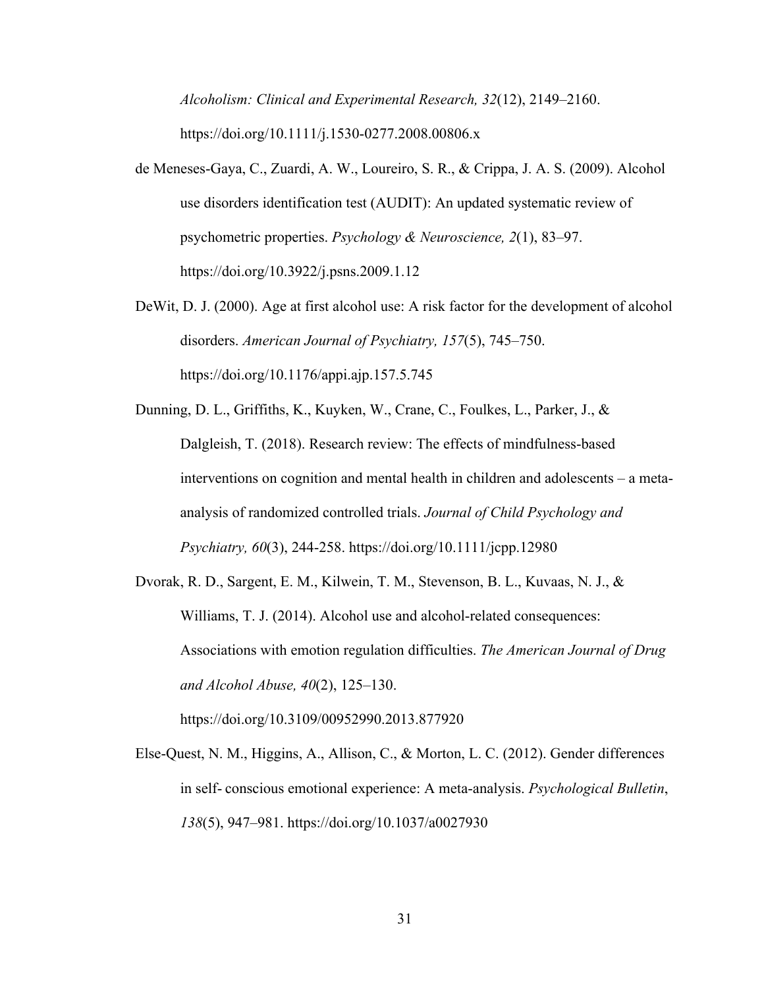*Alcoholism: Clinical and Experimental Research, 32*(12), 2149–2160. https://doi.org/10.1111/j.1530-0277.2008.00806.x

- de Meneses-Gaya, C., Zuardi, A. W., Loureiro, S. R., & Crippa, J. A. S. (2009). Alcohol use disorders identification test (AUDIT): An updated systematic review of psychometric properties. *Psychology & Neuroscience, 2*(1), 83–97. https://doi.org/10.3922/j.psns.2009.1.12
- DeWit, D. J. (2000). Age at first alcohol use: A risk factor for the development of alcohol disorders. *American Journal of Psychiatry, 157*(5), 745–750. https://doi.org/10.1176/appi.ajp.157.5.745
- Dunning, D. L., Griffiths, K., Kuyken, W., Crane, C., Foulkes, L., Parker, J., & Dalgleish, T. (2018). Research review: The effects of mindfulness-based interventions on cognition and mental health in children and adolescents – a metaanalysis of randomized controlled trials. *Journal of Child Psychology and Psychiatry, 60*(3), 244-258. https://doi.org/10.1111/jcpp.12980
- Dvorak, R. D., Sargent, E. M., Kilwein, T. M., Stevenson, B. L., Kuvaas, N. J., & Williams, T. J. (2014). Alcohol use and alcohol-related consequences: Associations with emotion regulation difficulties. *The American Journal of Drug and Alcohol Abuse, 40*(2), 125–130. https://doi.org/10.3109/00952990.2013.877920
- Else-Quest, N. M., Higgins, A., Allison, C., & Morton, L. C. (2012). Gender differences in self- conscious emotional experience: A meta-analysis. *Psychological Bulletin*, *138*(5), 947–981. https://doi.org/10.1037/a0027930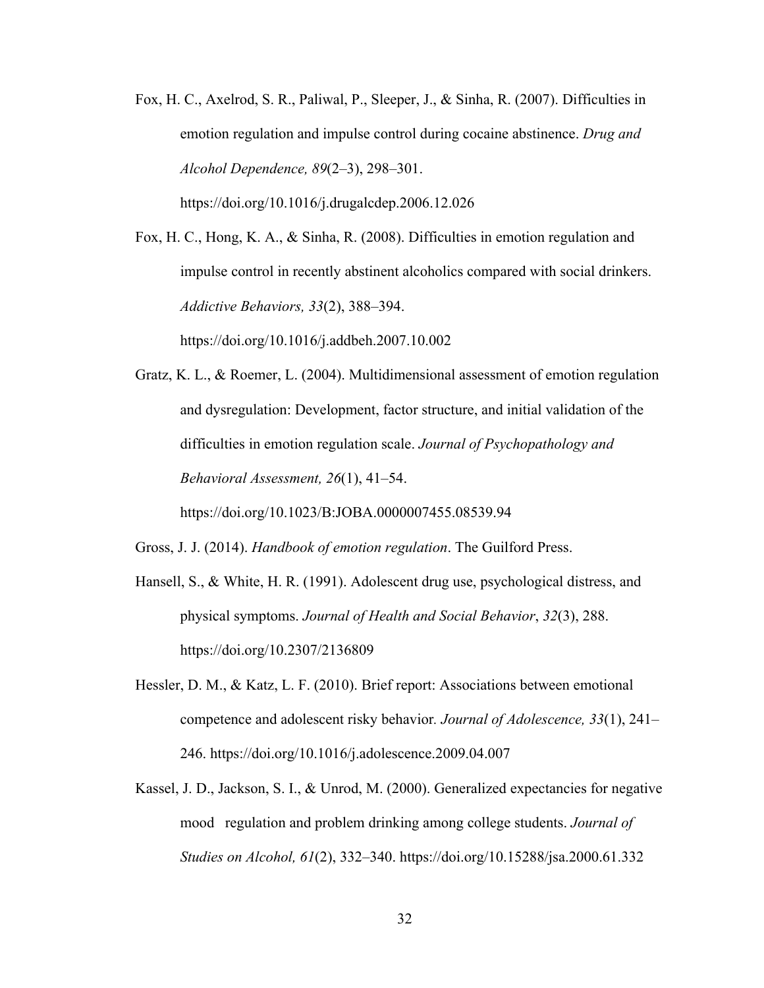Fox, H. C., Axelrod, S. R., Paliwal, P., Sleeper, J., & Sinha, R. (2007). Difficulties in emotion regulation and impulse control during cocaine abstinence. *Drug and Alcohol Dependence, 89*(2–3), 298–301.

https://doi.org/10.1016/j.drugalcdep.2006.12.026

Fox, H. C., Hong, K. A., & Sinha, R. (2008). Difficulties in emotion regulation and impulse control in recently abstinent alcoholics compared with social drinkers. *Addictive Behaviors, 33*(2), 388–394.

https://doi.org/10.1016/j.addbeh.2007.10.002

Gratz, K. L., & Roemer, L. (2004). Multidimensional assessment of emotion regulation and dysregulation: Development, factor structure, and initial validation of the difficulties in emotion regulation scale. *Journal of Psychopathology and Behavioral Assessment, 26*(1), 41–54.

https://doi.org/10.1023/B:JOBA.0000007455.08539.94

Gross, J. J. (2014). *Handbook of emotion regulation*. The Guilford Press.

- Hansell, S., & White, H. R. (1991). Adolescent drug use, psychological distress, and physical symptoms. *Journal of Health and Social Behavior*, *32*(3), 288. https://doi.org/10.2307/2136809
- Hessler, D. M., & Katz, L. F. (2010). Brief report: Associations between emotional competence and adolescent risky behavior*. Journal of Adolescence, 33*(1), 241– 246. https://doi.org/10.1016/j.adolescence.2009.04.007
- Kassel, J. D., Jackson, S. I., & Unrod, M. (2000). Generalized expectancies for negative mood regulation and problem drinking among college students. *Journal of Studies on Alcohol, 61*(2), 332–340. https://doi.org/10.15288/jsa.2000.61.332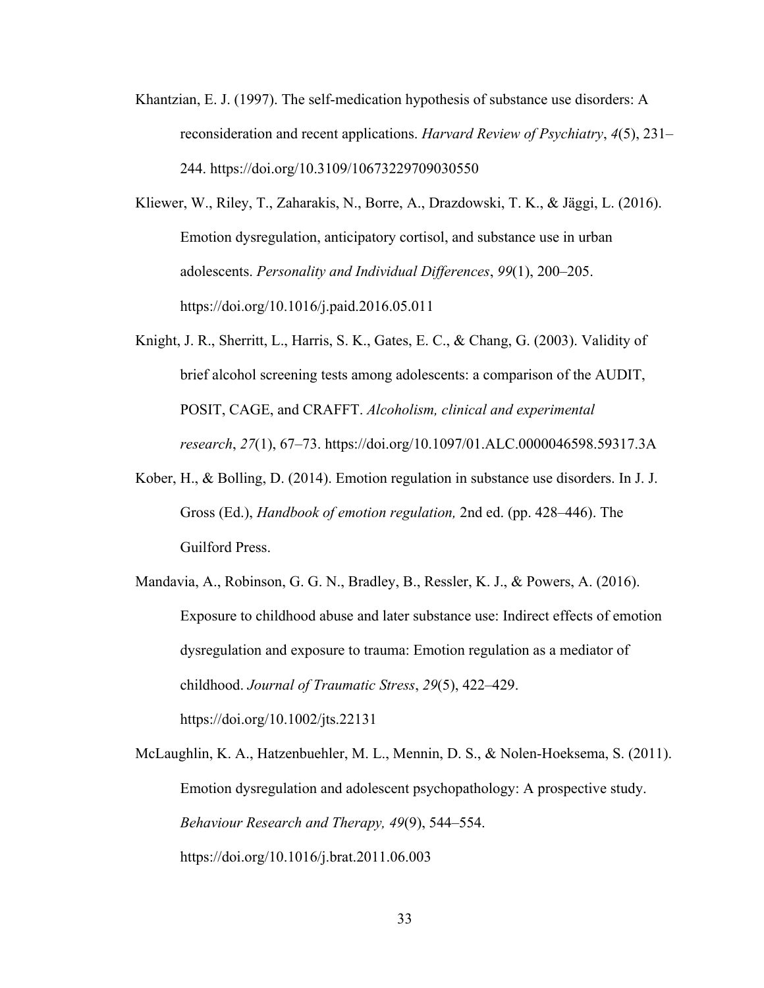- Khantzian, E. J. (1997). The self-medication hypothesis of substance use disorders: A reconsideration and recent applications. *Harvard Review of Psychiatry*, *4*(5), 231– 244. https://doi.org/10.3109/10673229709030550
- Kliewer, W., Riley, T., Zaharakis, N., Borre, A., Drazdowski, T. K., & Jäggi, L. (2016). Emotion dysregulation, anticipatory cortisol, and substance use in urban adolescents. *Personality and Individual Differences*, *99*(1), 200–205. https://doi.org/10.1016/j.paid.2016.05.011
- Knight, J. R., Sherritt, L., Harris, S. K., Gates, E. C., & Chang, G. (2003). Validity of brief alcohol screening tests among adolescents: a comparison of the AUDIT, POSIT, CAGE, and CRAFFT. *Alcoholism, clinical and experimental research*, *27*(1), 67–73. https://doi.org/10.1097/01.ALC.0000046598.59317.3A
- Kober, H., & Bolling, D. (2014). Emotion regulation in substance use disorders. In J. J. Gross (Ed.), *Handbook of emotion regulation,* 2nd ed. (pp. 428–446). The Guilford Press.
- Mandavia, A., Robinson, G. G. N., Bradley, B., Ressler, K. J., & Powers, A. (2016). Exposure to childhood abuse and later substance use: Indirect effects of emotion dysregulation and exposure to trauma: Emotion regulation as a mediator of childhood. *Journal of Traumatic Stress*, *29*(5), 422–429. https://doi.org/10.1002/jts.22131

McLaughlin, K. A., Hatzenbuehler, M. L., Mennin, D. S., & Nolen-Hoeksema, S. (2011). Emotion dysregulation and adolescent psychopathology: A prospective study. *Behaviour Research and Therapy, 49*(9), 544–554. https://doi.org/10.1016/j.brat.2011.06.003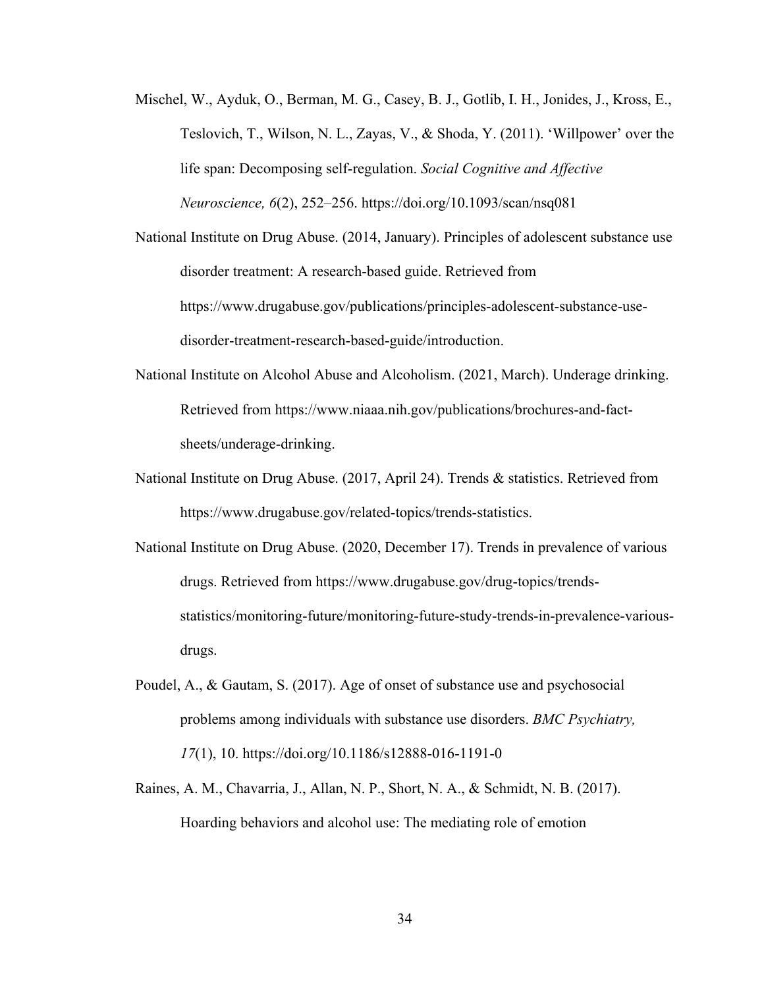- Mischel, W., Ayduk, O., Berman, M. G., Casey, B. J., Gotlib, I. H., Jonides, J., Kross, E., Teslovich, T., Wilson, N. L., Zayas, V., & Shoda, Y. (2011). 'Willpower' over the life span: Decomposing self-regulation. *Social Cognitive and Affective Neuroscience, 6*(2), 252–256. https://doi.org/10.1093/scan/nsq081
- National Institute on Drug Abuse. (2014, January). Principles of adolescent substance use disorder treatment: A research-based guide. Retrieved from https://www.drugabuse.gov/publications/principles-adolescent-substance-usedisorder-treatment-research-based-guide/introduction.
- National Institute on Alcohol Abuse and Alcoholism. (2021, March). Underage drinking. Retrieved from https://www.niaaa.nih.gov/publications/brochures-and-factsheets/underage-drinking.
- National Institute on Drug Abuse. (2017, April 24). Trends & statistics. Retrieved from https://www.drugabuse.gov/related-topics/trends-statistics.
- National Institute on Drug Abuse. (2020, December 17). Trends in prevalence of various drugs. Retrieved from https://www.drugabuse.gov/drug-topics/trendsstatistics/monitoring-future/monitoring-future-study-trends-in-prevalence-variousdrugs.
- Poudel, A., & Gautam, S. (2017). Age of onset of substance use and psychosocial problems among individuals with substance use disorders. *BMC Psychiatry, 17*(1), 10. https://doi.org/10.1186/s12888-016-1191-0
- Raines, A. M., Chavarria, J., Allan, N. P., Short, N. A., & Schmidt, N. B. (2017). Hoarding behaviors and alcohol use: The mediating role of emotion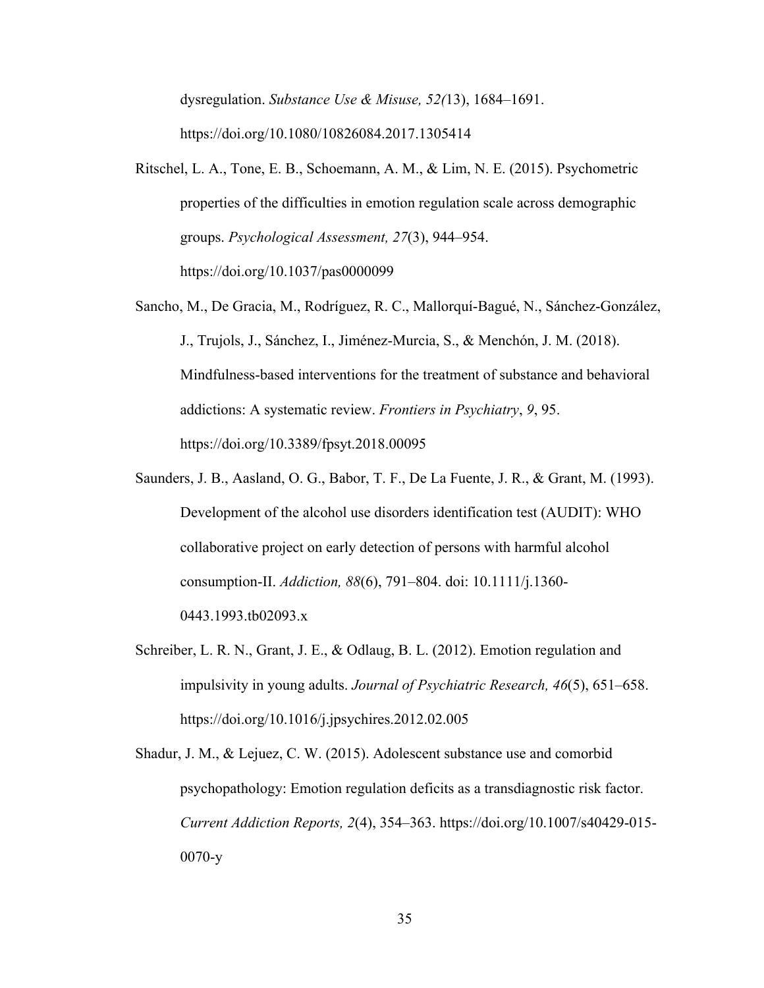dysregulation. *Substance Use & Misuse, 52(*13), 1684–1691. https://doi.org/10.1080/10826084.2017.1305414

- Ritschel, L. A., Tone, E. B., Schoemann, A. M., & Lim, N. E. (2015). Psychometric properties of the difficulties in emotion regulation scale across demographic groups. *Psychological Assessment, 27*(3), 944–954. https://doi.org/10.1037/pas0000099
- Sancho, M., De Gracia, M., Rodríguez, R. C., Mallorquí-Bagué, N., Sánchez-González, J., Trujols, J., Sánchez, I., Jiménez-Murcia, S., & Menchón, J. M. (2018). Mindfulness-based interventions for the treatment of substance and behavioral addictions: A systematic review. *Frontiers in Psychiatry*, *9*, 95. https://doi.org/10.3389/fpsyt.2018.00095
- Saunders, J. B., Aasland, O. G., Babor, T. F., De La Fuente, J. R., & Grant, M. (1993). Development of the alcohol use disorders identification test (AUDIT): WHO collaborative project on early detection of persons with harmful alcohol consumption-II. *Addiction, 88*(6), 791–804. doi: 10.1111/j.1360- 0443.1993.tb02093.x
- Schreiber, L. R. N., Grant, J. E., & Odlaug, B. L. (2012). Emotion regulation and impulsivity in young adults. *Journal of Psychiatric Research, 46*(5), 651–658. https://doi.org/10.1016/j.jpsychires.2012.02.005
- Shadur, J. M., & Lejuez, C. W. (2015). Adolescent substance use and comorbid psychopathology: Emotion regulation deficits as a transdiagnostic risk factor. *Current Addiction Reports, 2*(4), 354–363. https://doi.org/10.1007/s40429-015- 0070-y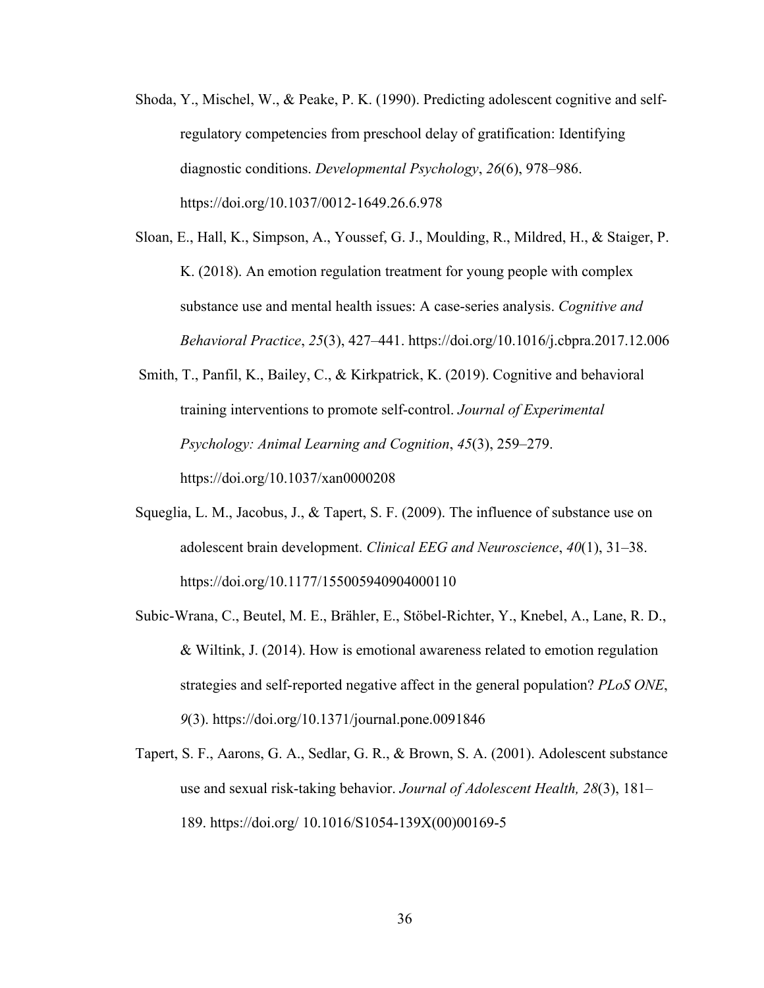- Shoda, Y., Mischel, W., & Peake, P. K. (1990). Predicting adolescent cognitive and selfregulatory competencies from preschool delay of gratification: Identifying diagnostic conditions. *Developmental Psychology*, *26*(6), 978–986. https://doi.org/10.1037/0012-1649.26.6.978
- Sloan, E., Hall, K., Simpson, A., Youssef, G. J., Moulding, R., Mildred, H., & Staiger, P. K. (2018). An emotion regulation treatment for young people with complex substance use and mental health issues: A case-series analysis. *Cognitive and Behavioral Practice*, *25*(3), 427–441. https://doi.org/10.1016/j.cbpra.2017.12.006

Smith, T., Panfil, K., Bailey, C., & Kirkpatrick, K. (2019). Cognitive and behavioral training interventions to promote self-control. *Journal of Experimental Psychology: Animal Learning and Cognition*, *45*(3), 259–279. https://doi.org/10.1037/xan0000208

- Squeglia, L. M., Jacobus, J., & Tapert, S. F. (2009). The influence of substance use on adolescent brain development. *Clinical EEG and Neuroscience*, *40*(1), 31–38. https://doi.org/10.1177/155005940904000110
- Subic-Wrana, C., Beutel, M. E., Brähler, E., Stöbel-Richter, Y., Knebel, A., Lane, R. D., & Wiltink, J. (2014). How is emotional awareness related to emotion regulation strategies and self-reported negative affect in the general population? *PLoS ONE*, *9*(3). https://doi.org/10.1371/journal.pone.0091846
- Tapert, S. F., Aarons, G. A., Sedlar, G. R., & Brown, S. A. (2001). Adolescent substance use and sexual risk-taking behavior. *Journal of Adolescent Health, 28*(3), 181– 189. https://doi.org/ 10.1016/S1054-139X(00)00169-5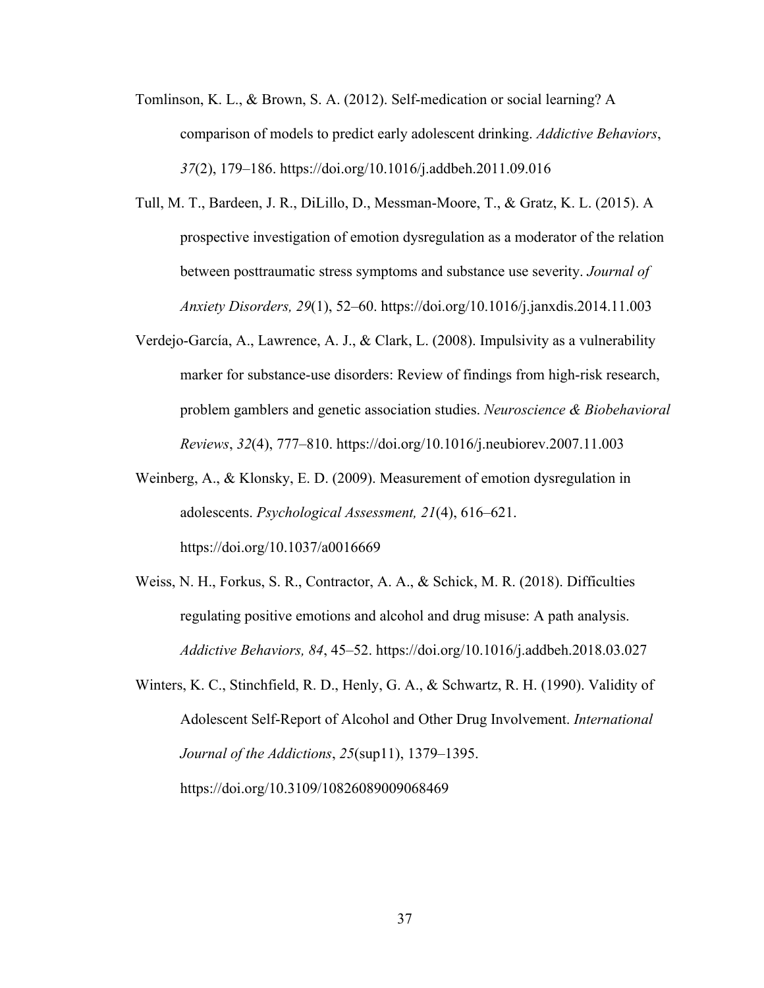- Tomlinson, K. L., & Brown, S. A. (2012). Self-medication or social learning? A comparison of models to predict early adolescent drinking. *Addictive Behaviors*, *37*(2), 179–186. https://doi.org/10.1016/j.addbeh.2011.09.016
- Tull, M. T., Bardeen, J. R., DiLillo, D., Messman-Moore, T., & Gratz, K. L. (2015). A prospective investigation of emotion dysregulation as a moderator of the relation between posttraumatic stress symptoms and substance use severity. *Journal of Anxiety Disorders, 29*(1), 52–60. https://doi.org/10.1016/j.janxdis.2014.11.003
- Verdejo-García, A., Lawrence, A. J., & Clark, L. (2008). Impulsivity as a vulnerability marker for substance-use disorders: Review of findings from high-risk research, problem gamblers and genetic association studies. *Neuroscience & Biobehavioral Reviews*, *32*(4), 777–810. https://doi.org/10.1016/j.neubiorev.2007.11.003
- Weinberg, A., & Klonsky, E. D. (2009). Measurement of emotion dysregulation in adolescents. *Psychological Assessment, 21*(4), 616–621. https://doi.org/10.1037/a0016669
- Weiss, N. H., Forkus, S. R., Contractor, A. A., & Schick, M. R. (2018). Difficulties regulating positive emotions and alcohol and drug misuse: A path analysis. *Addictive Behaviors, 84*, 45–52. https://doi.org/10.1016/j.addbeh.2018.03.027
- Winters, K. C., Stinchfield, R. D., Henly, G. A., & Schwartz, R. H. (1990). Validity of Adolescent Self-Report of Alcohol and Other Drug Involvement. *International Journal of the Addictions*, *25*(sup11), 1379–1395. https://doi.org/10.3109/10826089009068469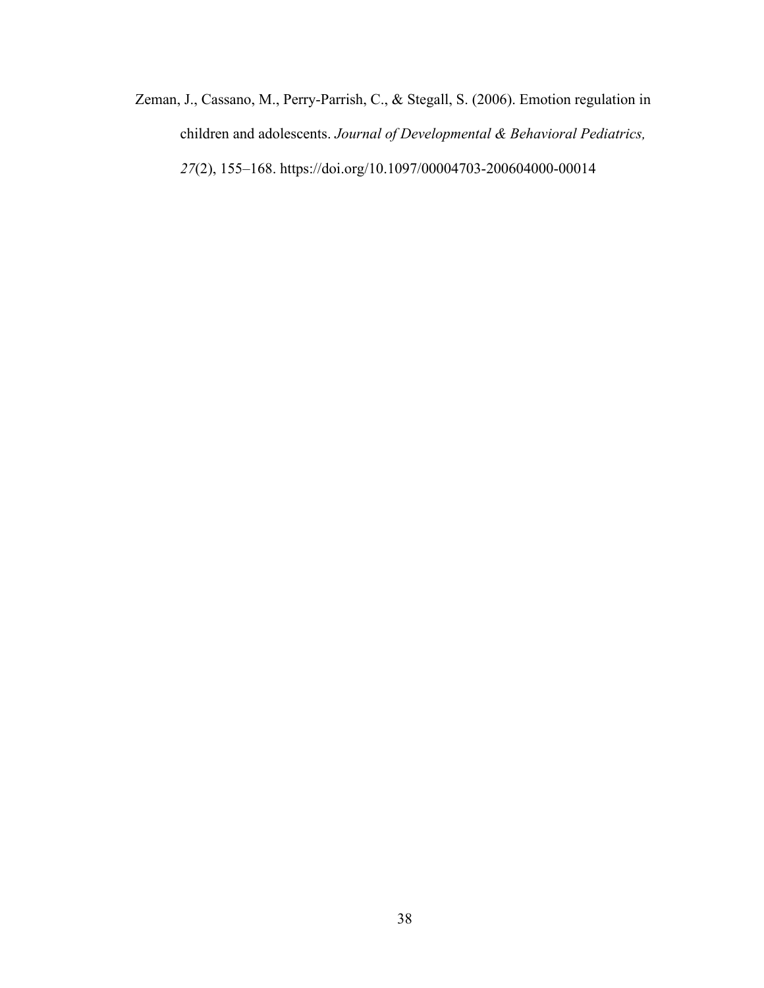Zeman, J., Cassano, M., Perry-Parrish, C., & Stegall, S. (2006). Emotion regulation in children and adolescents. *Journal of Developmental & Behavioral Pediatrics, 27*(2), 155–168. https://doi.org/10.1097/00004703-200604000-00014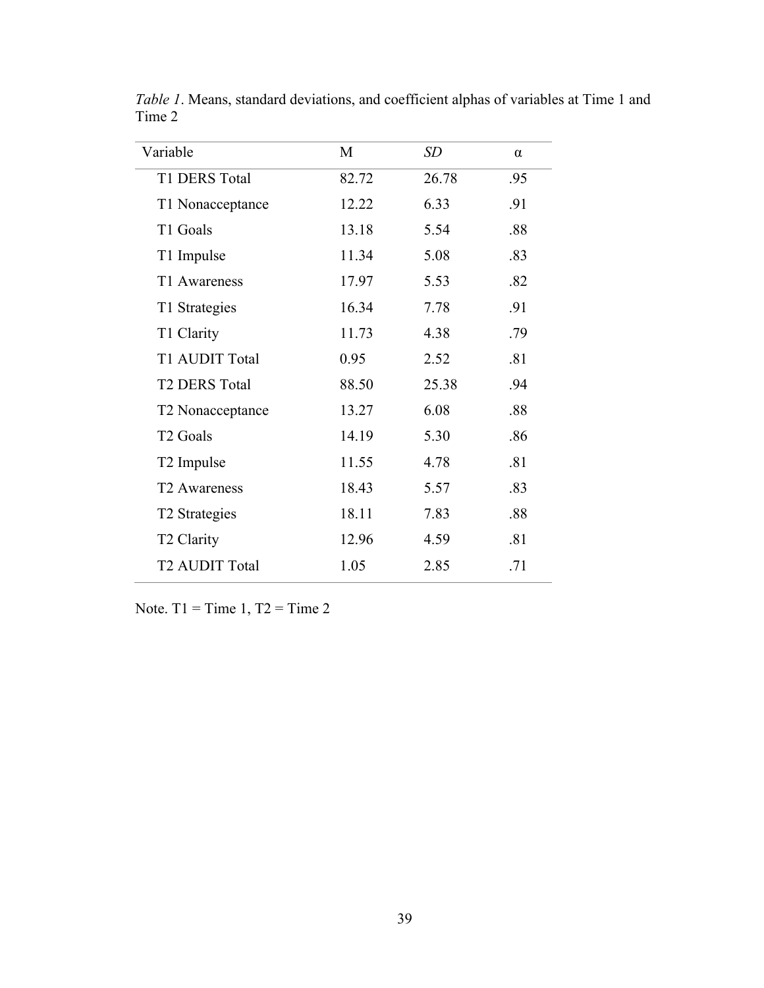| Variable                  | M     | SD    | $\alpha$ |
|---------------------------|-------|-------|----------|
| T1 DERS Total             | 82.72 | 26.78 | .95      |
| T1 Nonacceptance          | 12.22 | 6.33  | .91      |
| T1 Goals                  | 13.18 | 5.54  | .88      |
| T1 Impulse                | 11.34 | 5.08  | .83      |
| T1 Awareness              | 17.97 | 5.53  | .82      |
| T1 Strategies             | 16.34 | 7.78  | .91      |
| T1 Clarity                | 11.73 | 4.38  | .79      |
| T1 AUDIT Total            | 0.95  | 2.52  | .81      |
| <b>T2 DERS Total</b>      | 88.50 | 25.38 | .94      |
| T2 Nonacceptance          | 13.27 | 6.08  | .88      |
| T <sub>2</sub> Goals      | 14.19 | 5.30  | .86      |
| T <sub>2</sub> Impulse    | 11.55 | 4.78  | .81      |
| T <sub>2</sub> Awareness  | 18.43 | 5.57  | .83      |
| T <sub>2</sub> Strategies | 18.11 | 7.83  | .88      |
| T <sub>2</sub> Clarity    | 12.96 | 4.59  | .81      |
| <b>T2 AUDIT Total</b>     | 1.05  | 2.85  | .71      |

*Table 1*. Means, standard deviations, and coefficient alphas of variables at Time 1 and Time 2

Note. T1 = Time 1, T2 = Time 2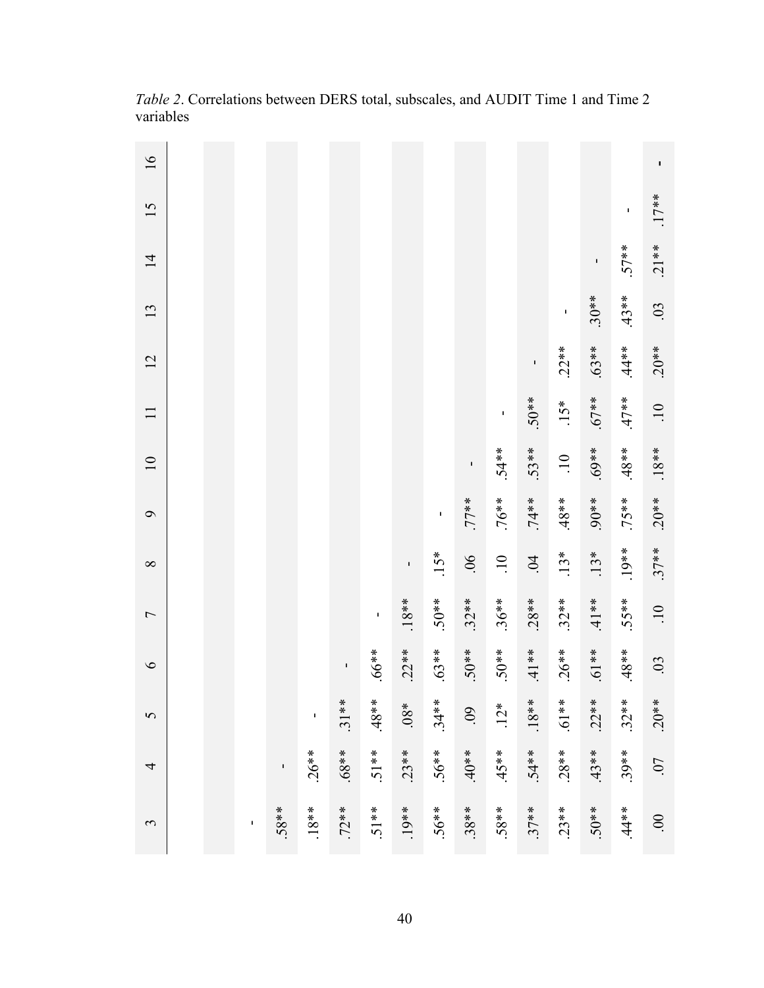| 16                |  |                |        |             |          |         |         |              |          |                 |                |                 |          |           | I               |
|-------------------|--|----------------|--------|-------------|----------|---------|---------|--------------|----------|-----------------|----------------|-----------------|----------|-----------|-----------------|
| 15                |  |                |        |             |          |         |         |              |          |                 |                |                 |          | ı,        | $.17**$         |
| $\overline{1}$    |  |                |        |             |          |         |         |              |          |                 |                |                 | ı        | $.57**$   | $.21**$         |
| 13                |  |                |        |             |          |         |         |              |          |                 |                | I               | $.30**$  | $.43**$   | .03             |
| 12                |  |                |        |             |          |         |         |              |          |                 | $\blacksquare$ | $.22**$         | $.63**$  | $.44**$   | $.20**$         |
| $\Box$            |  |                |        |             |          |         |         |              |          | $\blacksquare$  | $.50**$        | $.15*$          | $*16.6$  | $**17*$   | $\overline{10}$ |
| $\overline{10}$   |  |                |        |             |          |         |         |              | ı        | $.54**$         | $.53**$        | $\overline{10}$ | $*869.$  | $**8.48*$ | $.18**$         |
| $\mathbf{\Theta}$ |  |                |        |             |          |         |         | $\mathbf{I}$ | $+ * 77$ | $.76**$         | $.74**$        | $48**$          | $.90**$  | $.75**$   | $.20**$         |
| $\infty$          |  |                |        |             |          |         | I,      | $.15*$       | $90$ .   | $\overline{10}$ | $\ddot{9}$     | $.13*$          | $.13*$   | $.19**$   | $.37**$         |
| $\overline{ }$    |  |                |        |             |          | I       | $.18**$ | $.50**$      | $.32**$  | $.36**$         | $.28**$        | $.32**$         | $.41**$  | $.55**$   | $\overline{10}$ |
| $\circ$           |  |                |        |             | T,       | $*899.$ | $.22**$ | $.63**$      | $*80.5$  | $*80.5$         | $.41**$        | $.26**$         | $**19$ . | $48*$     | .03             |
| 5                 |  |                |        | $\mathbf I$ | $.31**$  | $**84.$ | $*80.$  | $.34***$     | .09      | $12*$           | $.18**$        | $**19.$         | $.22**$  | $.32***$  | $20**$          |
| 4                 |  |                | ı      | $.26**$     | $**89$ . | $.51**$ | $.23**$ | $.56**$      | $*80*$   | $**5.45$        | $.54**$        | $.28**$         | $.43**$  | $.39**$   | .07             |
| 3                 |  | $\blacksquare$ | $58**$ | $.18**$     | $.72**$  | $.51**$ | $.19**$ | $.56**$      | $.38**$  | $58***$         | $.37**$        | $23**$          | $50**$   | $.44**$   | $\overline{00}$ |

*Table 2*. Correlations between DERS total, subscales, and AUDIT Time 1 and Time 2 variables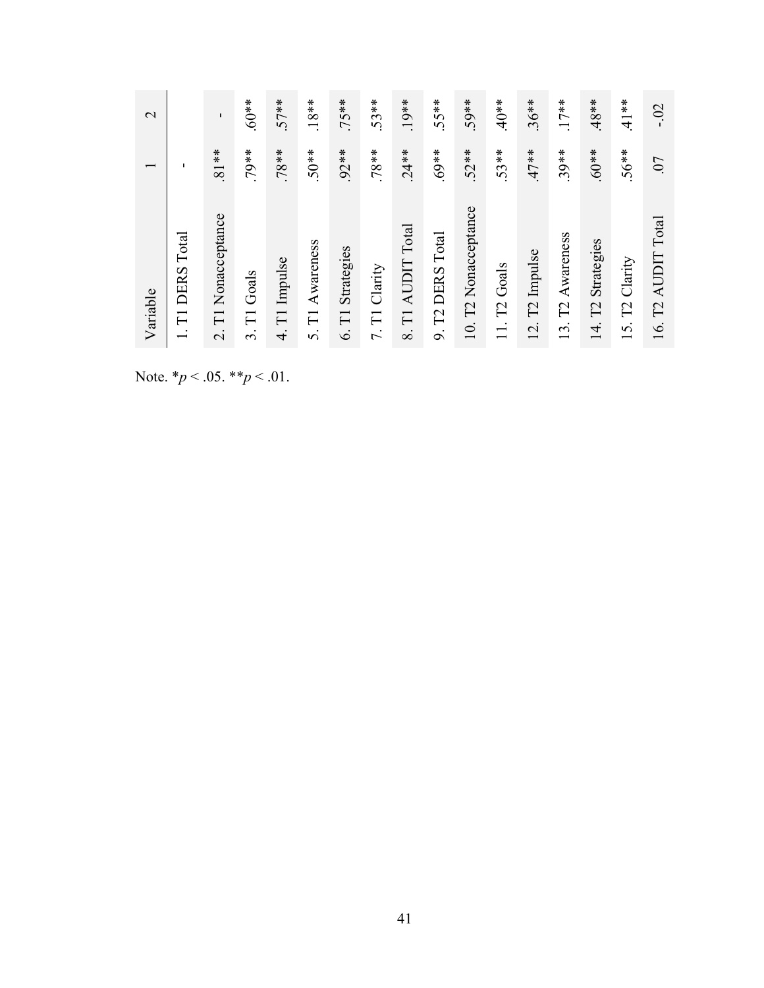Note. \**p* < .05. \*\**p* < .01.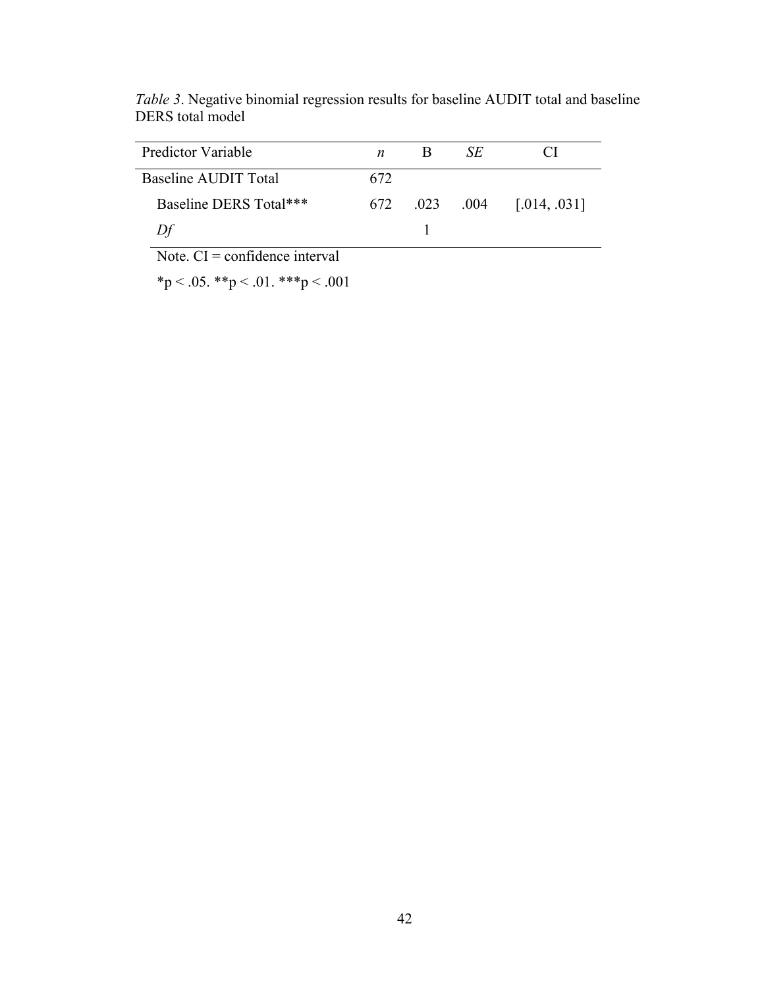| Predictor Variable     |     | SE            |              |
|------------------------|-----|---------------|--------------|
| Baseline AUDIT Total   | 672 |               |              |
| Baseline DERS Total*** |     | 672 .023 .004 | [.014, .031] |
| Df                     |     |               |              |

*Table 3*. Negative binomial regression results for baseline AUDIT total and baseline DERS total model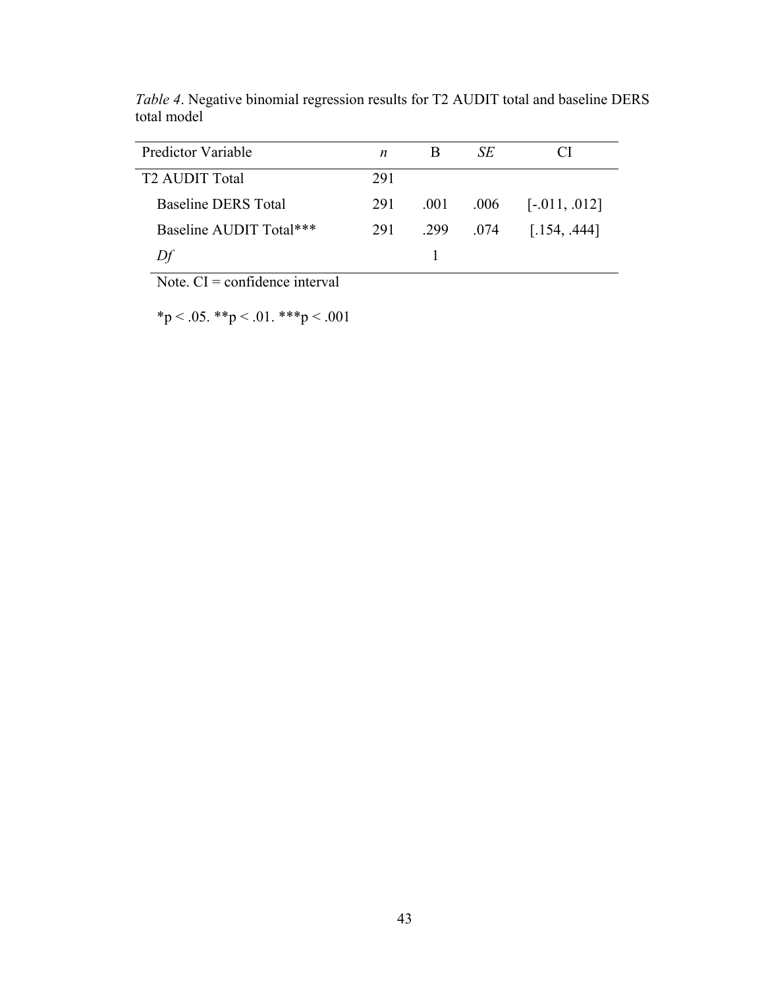| Predictor Variable         | n   |      | SE   |                 |
|----------------------------|-----|------|------|-----------------|
| <b>T2 AUDIT Total</b>      | 291 |      |      |                 |
| <b>Baseline DERS Total</b> | 291 | .001 | .006 | $[-.011, .012]$ |
| Baseline AUDIT Total***    | 291 | .299 | .074 | [.154, .444]    |
| Df                         |     |      |      |                 |

*Table 4*. Negative binomial regression results for T2 AUDIT total and baseline DERS total model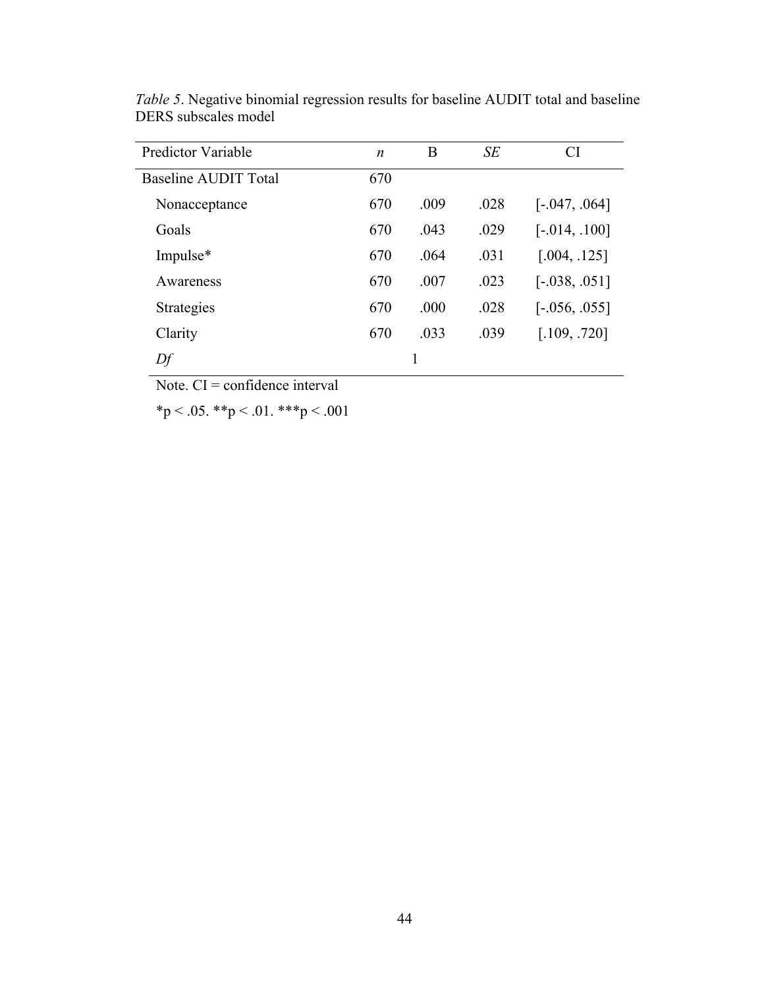| <b>Predictor Variable</b> | $\boldsymbol{n}$ | B    | SE   | <b>CI</b>       |
|---------------------------|------------------|------|------|-----------------|
| Baseline AUDIT Total      | 670              |      |      |                 |
| Nonacceptance             | 670              | .009 | .028 | $[-.047, .064]$ |
| Goals                     | 670              | .043 | .029 | $[-.014, .100]$ |
| Impulse*                  | 670              | .064 | .031 | [.004, .125]    |
| Awareness                 | 670              | .007 | .023 | $[-.038, .051]$ |
| Strategies                | 670              | .000 | .028 | $[-.056, .055]$ |
| Clarity                   | 670              | .033 | .039 | [.109, .720]    |
| Df                        |                  |      |      |                 |

*Table 5*. Negative binomial regression results for baseline AUDIT total and baseline DERS subscales model